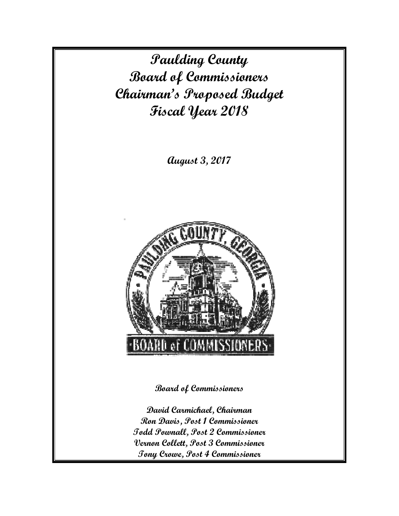**Paulding County Board of Commissioners Chairman's Proposed Budget Fiscal Year 2018** 

**August 3, 2017** 



**Board of Commissioners** 

**David Carmichael, Chairman Ron Davis, Post 1 Commissioner Todd Pownall, Post 2 Commissioner Vernon Collett, Post 3 Commissioner Tony Crowe, Post 4 Commissioner**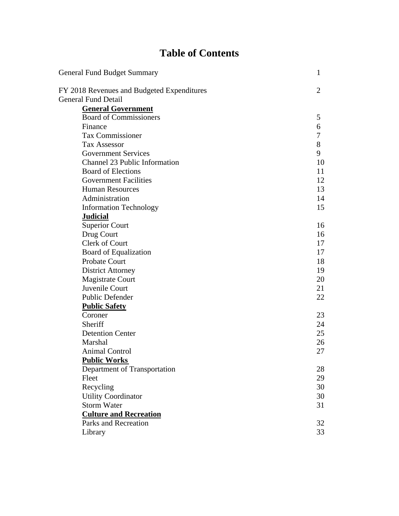# **Table of Contents**

| General Fund Budget Summary                | 1              |
|--------------------------------------------|----------------|
| FY 2018 Revenues and Budgeted Expenditures | $\overline{2}$ |
| <b>General Fund Detail</b>                 |                |
| <b>General Government</b>                  |                |
| <b>Board of Commissioners</b>              | 5              |
| Finance                                    | 6              |
| Tax Commissioner                           | 7              |
| <b>Tax Assessor</b>                        | 8              |
| <b>Government Services</b>                 | 9              |
| Channel 23 Public Information              | 10             |
| <b>Board of Elections</b>                  | 11             |
| <b>Government Facilities</b>               | 12             |
| <b>Human Resources</b>                     | 13             |
| Administration                             | 14             |
| <b>Information Technology</b>              | 15             |
| <b>Judicial</b>                            |                |
| <b>Superior Court</b>                      | 16             |
| Drug Court                                 | 16             |
| Clerk of Court                             | 17             |
| <b>Board of Equalization</b>               | 17             |
| Probate Court                              | 18             |
| <b>District Attorney</b>                   | 19             |
| <b>Magistrate Court</b>                    | 20             |
| Juvenile Court                             | 21             |
| Public Defender                            | 22             |
| <b>Public Safety</b>                       |                |
| Coroner                                    | 23             |
| Sheriff                                    | 24             |
| <b>Detention Center</b>                    | 25             |
| Marshal                                    | 26             |
| <b>Animal Control</b>                      | 27             |
| <b>Public Works</b>                        |                |
| Department of Transportation               | 28             |
| Fleet                                      | 29             |
| Recycling                                  | 30             |
| <b>Utility Coordinator</b>                 | 30             |
| <b>Storm Water</b>                         | 31             |
| <b>Culture and Recreation</b>              |                |
| Parks and Recreation                       | 32             |
| Library                                    | 33             |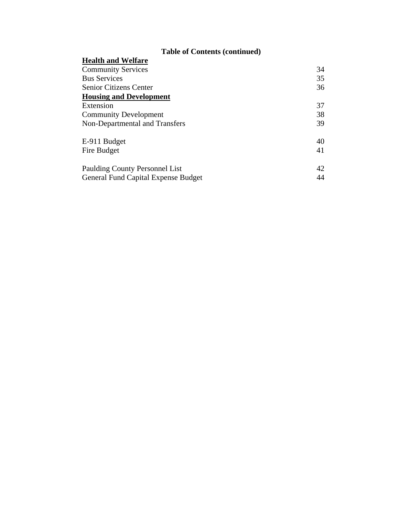# **Table of Contents (continued)**

| Tuble of Contents (continueu)              |    |
|--------------------------------------------|----|
| <b>Health and Welfare</b>                  |    |
| <b>Community Services</b>                  | 34 |
| <b>Bus Services</b>                        | 35 |
| <b>Senior Citizens Center</b>              | 36 |
| <b>Housing and Development</b>             |    |
| Extension                                  | 37 |
| <b>Community Development</b>               | 38 |
| Non-Departmental and Transfers             | 39 |
| E-911 Budget                               | 40 |
| Fire Budget                                | 41 |
| Paulding County Personnel List             | 42 |
| <b>General Fund Capital Expense Budget</b> | 44 |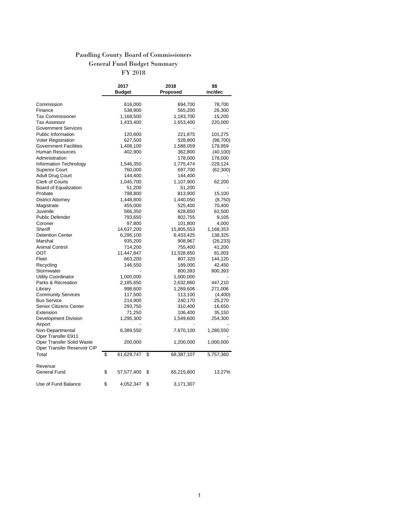# Paudling County Board of Commissioners General Fund Budget Summary

FY 2018

|                               | 2017             | 2018               | \$\$      |
|-------------------------------|------------------|--------------------|-----------|
|                               | Budget           | Proposed           | inc/dec   |
|                               |                  |                    |           |
| Commission<br>Finance         | 616,000          | 694,700<br>565,200 | 78,700    |
| Tax Commissioner              | 538,900          |                    | 26,300    |
|                               | 1,168,500        | 1,183,700          | 15,200    |
| Tax Assessor                  | 1,433,400        | 1,653,400          | 220,000   |
| <b>Government Services</b>    |                  |                    |           |
| <b>Public Information</b>     | 120,600          | 221,875            | 101,275   |
| Voter Registration            | 627,500          | 528,800            | (98, 700) |
| <b>Government Facilities</b>  | 1,408,100        | 1,588,059          | 179,959   |
| Human Resources               | 402,900          | 362,800            | (40, 100) |
| Administration                |                  | 178,000            | 178,000   |
| Information Technology        | 1,546,350        | 1,775,474          | 229,124   |
| <b>Superior Court</b>         | 760,000          | 697,700            | (62, 300) |
| Adult Drug Court              | 144,400          | 144,400            |           |
| <b>Clerk of Courts</b>        | 1,045,700        | 1,107,900          | 62,200    |
| Board of Equalization         | 51,200           | 51,200             |           |
| Probate                       | 798,800          | 813,900            | 15,100    |
| <b>District Attorney</b>      | 1,448,800        | 1,440,050          | (8,750)   |
| Magistrate                    | 455,000          | 525,400            | 70,400    |
| Juvenile                      | 566,350          | 628,850            | 62,500    |
| <b>Public Defender</b>        | 793,650          | 802,755            | 9,105     |
| Coroner                       | 97,800           | 101,800            | 4,000     |
| Sheriff                       | 14,637,200       | 15,805,553         | 1,168,353 |
| <b>Detention Center</b>       | 6,295,100        | 6,433,425          | 138,325   |
| Marshal                       | 935,200          | 908,967            | (26, 233) |
| Animal Control                | 714,200          | 755,400            | 41,200    |
| DOT                           | 11,447,847       | 11,528,850         | 81,003    |
| Fleet                         | 663,200          | 807,320            | 144,120   |
| Recycling                     | 146,550          | 189,000            | 42,450    |
| Stormwater                    |                  | 800,393            | 800,393   |
| Utility Coordinator           | 1,000,000        | 1,000,000          |           |
| Parks & Recreation            | 2,185,650        | 2,632,860          | 447,210   |
| Library                       | 998,600          | 1,269,606          | 271,006   |
| <b>Community Services</b>     | 117,500          | 113,100            | (4,400)   |
| <b>Bus Service</b>            | 214,900          | 240,170            | 25,270    |
| <b>Senior Citizens Center</b> | 293,750          | 310,400            | 16,650    |
| Extension                     | 71,250           | 106,400            | 35,150    |
| Development Division          | 1,295,300        | 1,549,600          | 254,300   |
| Airport                       |                  |                    |           |
| Non-Departmental              | 6,389,550        | 7,670,100          | 1,280,550 |
| Oper Transfer E911            |                  |                    |           |
| Oper Transfer Solid Waste     | 200,000          | 1,200,000          | 1,000,000 |
| Oper Transfer Reservoir CIP   |                  |                    |           |
| Total                         | \$<br>61,629,747 | \$<br>68,387,107   | 5,757,360 |
|                               |                  |                    |           |
| Revenue                       |                  |                    |           |
| General Fund                  | \$<br>57,577,400 | \$<br>65,215,800   | 13.27%    |
| Use of Fund Balance           | \$<br>4,052,347  | \$<br>3,171,307    |           |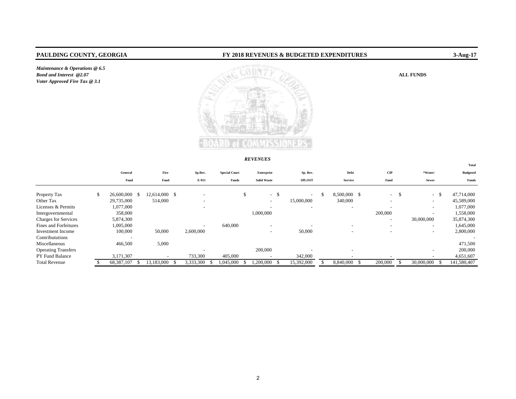*Maintenance & Operations @ 6.5 Bond and Interest* @2.07 *Voter Approved Fire Tax @ 3.1*

## **PAULDING COUNTY, GEORGIA FY 2018 REVENUES & BUDGETED EXPENDITURES 3-Aug-17**

#### ALL FUNDS



#### *REVENUES*

|                             |                          |      |                          |                          |                      |                          |     |                          |                            |                          |     |                          | Total                    |
|-----------------------------|--------------------------|------|--------------------------|--------------------------|----------------------|--------------------------|-----|--------------------------|----------------------------|--------------------------|-----|--------------------------|--------------------------|
|                             | General                  |      | Fire                     | Sp.Rev.                  | <b>Special Court</b> | Enterprise               |     | Sp. Rev.                 | Debt                       | $\mathbf{CIP}$           |     | *Water/                  | <b>Budgeted</b>          |
|                             | Fund                     |      | Fund                     | E-911                    | Funds                | <b>Solid Waste</b>       |     | <b>SPLOST</b>            | <b>Service</b>             | Fund                     |     | Sewer                    | Funds                    |
| Property Tax                | \$<br>26,600,000         | - \$ | 12,614,000 \$            |                          |                      | \$<br>$\sim$             | -\$ | $\sim$                   | 8,500,000 \$               | $\sim$                   | -\$ | <sup>\$</sup><br>$\sim$  | 47,714,000               |
| Other Tax                   | 29,735,000               |      | 514,000                  | $\overline{\phantom{a}}$ |                      | $\overline{\phantom{a}}$ |     | 15,000,000               | 340,000                    | $\overline{\phantom{a}}$ |     | $\overline{\phantom{0}}$ | 45,589,000               |
| Licenses & Permits          | 1,077,000                |      |                          | $\overline{\phantom{a}}$ |                      |                          |     | $\overline{\phantom{a}}$ | $\overline{\phantom{a}}$   | $\overline{\phantom{a}}$ |     | $\sim$                   | 1,077,000                |
| Intergovernmental           | 358,000                  |      |                          |                          |                      | 1,000,000                |     |                          |                            | 200,000                  |     | $\overline{\phantom{0}}$ | 1,558,000                |
| <b>Charges for Services</b> | 5,874,300                |      |                          |                          |                      |                          |     |                          |                            | -                        |     | 30,000,000               | 35,874,300               |
| Fines and Forfeitures       | 1,005,000                |      |                          | $\overline{\phantom{a}}$ | 640,000              | $\overline{\phantom{a}}$ |     |                          | $\overline{\phantom{0}}$   | $\overline{\phantom{a}}$ |     | $\overline{\phantom{0}}$ | 1,645,000                |
| <b>Investment</b> Income    | 100,000                  |      | 50,000                   | 2,600,000                |                      | $\overline{\phantom{a}}$ |     | 50,000                   | $\overline{\phantom{0}}$   | ۰                        |     | $-$                      | 2,800,000                |
| Contribututions             | $\overline{\phantom{0}}$ |      |                          |                          |                      |                          |     |                          |                            |                          |     |                          | $\overline{\phantom{a}}$ |
| Miscellaneous               | 466,500                  |      | 5,000                    |                          |                      |                          |     |                          |                            |                          |     |                          | 471,500                  |
| <b>Operating Transfers</b>  |                          |      |                          |                          |                      | 200,000                  |     |                          | $\overline{\phantom{0}}$   |                          |     | $-$                      | 200,000                  |
| <b>PY Fund Balance</b>      | 3,171,307                |      | $\overline{\phantom{a}}$ | 733,300                  | 405,000              |                          |     | 342,000                  | $\overline{\phantom{a}}$   |                          |     |                          | 4,651,607                |
| <b>Total Revenue</b>        | 68.387.107               |      | 13.183.000               | 3,333,300                | 1.045.000            | .200.000                 |     | 15,392,000               | 8.840.000<br>$\mathcal{L}$ | 200,000                  |     | 30,000,000               | 141,580,407              |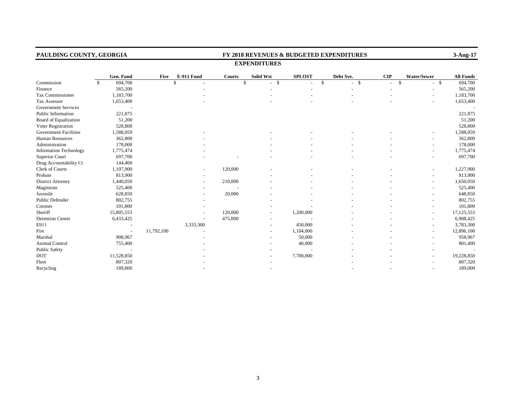| PAULDING COUNTY, GEORGIA      |              |                          |            | FY 2018 REVENUES & BUDGETED EXPENDITURES<br>3-Aug-17 |               |                         |                    |           |                    |             |                  |  |  |  |  |
|-------------------------------|--------------|--------------------------|------------|------------------------------------------------------|---------------|-------------------------|--------------------|-----------|--------------------|-------------|------------------|--|--|--|--|
|                               |              |                          |            |                                                      |               | <b>EXPENDITURES</b>     |                    |           |                    |             |                  |  |  |  |  |
|                               |              | Gen. Fund                | Fire       | E-911 Fund                                           | <b>Courts</b> | <b>Solid Wst</b>        | <b>SPLOST</b>      | Debt Sve. | CIP                | Water/Sewer | <b>All Funds</b> |  |  |  |  |
| Commission                    | $\mathbb{S}$ | 694,700                  |            | $\mathbf{\hat{S}}$                                   |               | $\mathbf{\$}$<br>$-$ \$ | $\mathbf{\hat{S}}$ | $-$ \$    | $\mathbf{\hat{S}}$ | $-$ \$      | 694,700          |  |  |  |  |
| Finance                       |              | 565,200                  |            |                                                      |               |                         |                    |           |                    |             | 565,200          |  |  |  |  |
| Tax Commissioner              |              | 1,183,700                |            |                                                      |               |                         |                    |           |                    |             | 1,183,700        |  |  |  |  |
| Tax Assessor                  |              | 1,653,400                |            |                                                      |               |                         |                    |           |                    |             | 1,653,400        |  |  |  |  |
| <b>Government Services</b>    |              |                          |            |                                                      |               |                         |                    |           |                    |             |                  |  |  |  |  |
| Public Information            |              | 221,875                  |            |                                                      |               |                         |                    |           |                    |             | 221,875          |  |  |  |  |
| <b>Board of Equalization</b>  |              | 51,200                   |            |                                                      |               |                         |                    |           |                    |             | 51,200           |  |  |  |  |
| Voter Registration            |              | 528,800                  |            |                                                      |               |                         |                    |           |                    |             | 528,800          |  |  |  |  |
| <b>Government Facilities</b>  |              | 1,588,059                |            |                                                      |               |                         |                    |           |                    |             | 1,588,059        |  |  |  |  |
| Human Resources               |              | 362,800                  |            |                                                      |               |                         |                    |           |                    |             | 362,800          |  |  |  |  |
| Administration                |              | 178,000                  |            |                                                      |               |                         |                    |           |                    |             | 178,000          |  |  |  |  |
| <b>Information Technology</b> |              | 1,775,474                |            |                                                      |               |                         |                    |           |                    |             | 1,775,474        |  |  |  |  |
| <b>Superior Court</b>         |              | 697,700                  |            |                                                      |               |                         |                    |           |                    |             | 697,700          |  |  |  |  |
| Drug Accountability Ct        |              | 144,400                  |            |                                                      |               |                         |                    |           |                    |             |                  |  |  |  |  |
| Clerk of Courts               |              | 1,107,900                |            |                                                      | 120,000       |                         |                    |           |                    | $\sim$      | 1,227,900        |  |  |  |  |
| Probate                       |              | 813,900                  |            |                                                      |               |                         |                    |           |                    |             | 813,900          |  |  |  |  |
| <b>District Attorney</b>      |              | 1,440,050                |            |                                                      | 210,000       |                         |                    |           |                    |             | 1,650,050        |  |  |  |  |
| Magistrate                    |              | 525,400                  |            |                                                      |               |                         |                    |           |                    |             | 525,400          |  |  |  |  |
| Juvenile                      |              | 628,850                  |            |                                                      | 20,000        |                         |                    |           |                    |             | 648,850          |  |  |  |  |
| Public Defender               |              | 802,755                  |            |                                                      |               |                         |                    |           |                    |             | 802,755          |  |  |  |  |
| Coroner                       |              | 101,800                  |            |                                                      |               |                         |                    |           |                    |             | 101,800          |  |  |  |  |
| Sheriff                       |              | 15,805,553               |            |                                                      | 120,000       |                         | 1,200,000          |           |                    |             | 17,125,553       |  |  |  |  |
| <b>Detention Center</b>       |              | 6,433,425                |            |                                                      | 475,000       |                         |                    |           |                    |             | 6,908,425        |  |  |  |  |
| E911                          |              |                          |            | 3,333,300                                            |               |                         | 450,000            |           |                    |             | 3,783,300        |  |  |  |  |
| Fire                          |              | $\overline{\phantom{a}}$ | 11,792,100 |                                                      |               |                         | 1,104,000          |           |                    |             | 12,896,100       |  |  |  |  |
| Marshal                       |              | 908,967                  |            |                                                      |               |                         | 50,000             |           |                    |             | 958,967          |  |  |  |  |
| Animal Control                |              | 755,400                  |            |                                                      |               |                         | 46,000             |           |                    |             | 801,400          |  |  |  |  |
| <b>Public Safety</b>          |              |                          |            |                                                      |               |                         |                    |           |                    |             |                  |  |  |  |  |
| <b>DOT</b>                    |              | 11,528,850               |            |                                                      |               |                         | 7,700,000          |           |                    |             | 19,228,850       |  |  |  |  |
| Fleet                         |              | 807,320                  |            |                                                      |               |                         |                    |           |                    |             | 807,320          |  |  |  |  |
| Recycling                     |              | 189,000                  |            |                                                      |               |                         |                    |           |                    |             | 189,000          |  |  |  |  |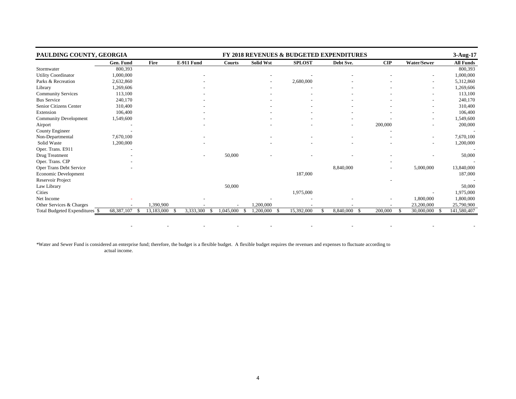| PAULDING COUNTY, GEORGIA       |                    |            |            | <b>FY 2018 REVENUES &amp; BUDGETED EXPENDITURES</b> |                  |               |              |                          |                          |                  |  |  |  |  |  |
|--------------------------------|--------------------|------------|------------|-----------------------------------------------------|------------------|---------------|--------------|--------------------------|--------------------------|------------------|--|--|--|--|--|
|                                | Gen. Fund          | Fire       | E-911 Fund | Courts                                              | <b>Solid Wst</b> | <b>SPLOST</b> | Debt Sve.    | $\mathbf{CIP}$           | Water/Sewer              | <b>All Funds</b> |  |  |  |  |  |
| Stormwater                     | 800,393            |            |            |                                                     |                  |               |              |                          |                          | 800,393          |  |  |  |  |  |
| Utility Coordinator            | 1,000,000          |            |            |                                                     |                  |               |              |                          |                          | 1,000,000        |  |  |  |  |  |
| Parks & Recreation             | 2,632,860          |            |            |                                                     |                  | 2,680,000     |              |                          | $\overline{\phantom{a}}$ | 5,312,860        |  |  |  |  |  |
| Library                        | 1,269,606          |            |            |                                                     |                  |               |              |                          | $\overline{\phantom{0}}$ | 1,269,606        |  |  |  |  |  |
| <b>Community Services</b>      | 113,100            |            |            |                                                     |                  |               |              |                          |                          | 113,100          |  |  |  |  |  |
| <b>Bus Service</b>             | 240,170            |            |            |                                                     |                  |               |              |                          |                          | 240,170          |  |  |  |  |  |
| Senior Citizens Center         | 310,400            |            |            |                                                     |                  |               |              |                          | $\overline{\phantom{a}}$ | 310,400          |  |  |  |  |  |
| Extension                      | 106,400            |            |            |                                                     |                  |               |              |                          | $\overline{\phantom{a}}$ | 106,400          |  |  |  |  |  |
| <b>Community Development</b>   | 1,549,600          |            |            |                                                     |                  |               |              |                          |                          | 1,549,600        |  |  |  |  |  |
| Airport                        |                    |            |            |                                                     |                  |               |              | 200,000                  |                          | 200,000          |  |  |  |  |  |
| County Engineer                |                    |            |            |                                                     |                  |               |              |                          |                          |                  |  |  |  |  |  |
| Non-Departmental               | 7,670,100          |            |            |                                                     |                  |               |              |                          | $\overline{\phantom{0}}$ | 7,670,100        |  |  |  |  |  |
| Solid Waste                    | 1,200,000          |            |            |                                                     |                  |               |              |                          |                          | 1,200,000        |  |  |  |  |  |
| Oper. Trans. E911              |                    |            |            |                                                     |                  |               |              |                          |                          |                  |  |  |  |  |  |
| Drug Treatment                 |                    |            |            | 50,000                                              |                  |               |              |                          |                          | 50,000           |  |  |  |  |  |
| Oper. Trans. CIP               |                    |            |            |                                                     |                  |               |              |                          |                          |                  |  |  |  |  |  |
| Oper Trans Debt Service        |                    |            |            |                                                     |                  |               | 8,840,000    | $\overline{\phantom{0}}$ | 5,000,000                | 13,840,000       |  |  |  |  |  |
| Economic Development           |                    |            |            |                                                     |                  | 187,000       |              |                          |                          | 187,000          |  |  |  |  |  |
| Reservoir Project              |                    |            |            |                                                     |                  |               |              |                          |                          |                  |  |  |  |  |  |
| Law Library                    |                    |            |            | 50,000                                              |                  |               |              |                          |                          | 50,000           |  |  |  |  |  |
| Cities                         |                    |            |            |                                                     |                  | 1,975,000     |              |                          |                          | 1,975,000        |  |  |  |  |  |
| Net Income                     |                    |            |            |                                                     |                  |               |              | $\overline{\phantom{a}}$ | 1,800,000                | 1,800,000        |  |  |  |  |  |
| Other Services & Charges       |                    | 1,390,900  |            |                                                     | 1,200,000        |               |              |                          | 23,200,000               | 25,790,900       |  |  |  |  |  |
| Total Budgeted Expenditures \$ | 68,387,107<br>- \$ | 13,183,000 | 3,333,300  | 1,045,000<br>-\$                                    | 1,200,000        | 15,392,000    | 8,840,000 \$ | 200,000                  | 30,000,000<br>-\$        | 141,580,407      |  |  |  |  |  |

- - - - - - - - -

\*Water and Sewer Fund is considered an enterprise fund; therefore, the budget is a flexible budget. A flexible budget requires the revenues and expenses to fluctuate according to actual income.

e de la construcción de la construcción de la construcción de la construcción de la construcción de la constru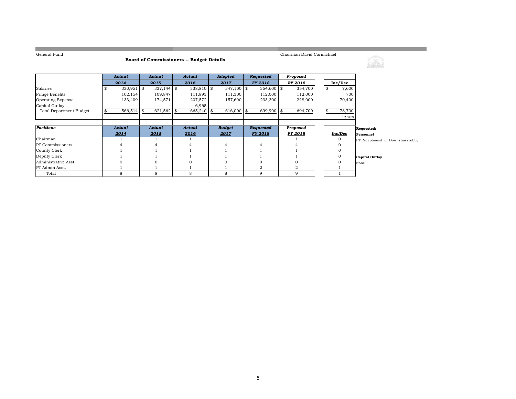```
General Fund
```
**Common** 

### **Board of Commissioners -- Budget Details**

Chairman David Carmichael

<u> 1989 - Johann Barnett, mars et al. 19</u>

|                                | Actual       | Actual       | Actual     | Adopted       | Requested      | Proposed       |  |             |                                      |
|--------------------------------|--------------|--------------|------------|---------------|----------------|----------------|--|-------------|--------------------------------------|
|                                | 2014         | 2015         | 2016       | 2017          | <b>FY 2018</b> | FY 2018        |  | Inc/Dec     |                                      |
| Salaries                       | $330,951$ \$ | $337,144$ \$ | 338,810 \$ | $347,100$ \$  | $354,600$ \$   | 354,700        |  | \$<br>7,600 |                                      |
| Fringe Benefits                | 102,154      | 109,847      | 111,893    | 111,300       | 112,000        | 112,000        |  | 700         |                                      |
| <b>Operating Expense</b>       | 133,409      | 174,571      | 207,572    | 157,600       | 233,300        | 228,000        |  | 70,400      |                                      |
| Capital Outlay                 |              |              | 6,965      |               |                |                |  |             |                                      |
| <b>Total Department Budget</b> | $566,514$ \$ | 621,562      | 665,240    | 616,000 \$    | 699,900        | 694,700        |  | 78,700      |                                      |
|                                |              |              |            |               |                |                |  | 12.78%      |                                      |
|                                |              |              |            |               |                |                |  |             |                                      |
| Positions                      | Actual       | Actual       | Actual     | <b>Budget</b> | Requested      | Proposed       |  |             | Requested:                           |
|                                | 2014         | 2015         | 2016       | 2017          | <b>FY 2018</b> | <b>FY 2018</b> |  | Inc/Dec     | Personnel                            |
| Chairman                       |              |              |            |               |                |                |  |             | PT Receptionist for Downstairs lobby |
| PT Commissioners               |              |              |            |               |                |                |  |             |                                      |
| County Clerk                   |              |              |            |               |                |                |  |             |                                      |
| Deputy Clerk                   |              |              |            |               |                |                |  |             | <b>Capital Outlay</b>                |
| Administrative Asst            |              |              |            |               |                |                |  |             | None                                 |
| PT Admin Asst.                 |              |              |            |               |                |                |  |             |                                      |
| Total                          | 8            | 8            | 8          | 8             | 9              | 9              |  |             |                                      |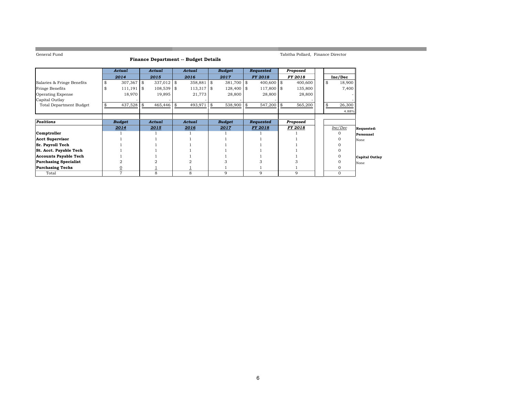**College** 

#### **Finance Department -- Budget Details**

Tabitha Pollard, Finance Director

a sa kacamatan ing Kabupatèn Kabupatèn Kabupatèn Kabupatèn Kabupatèn Kabupatèn Kabupatèn Kabupatèn Kabupatèn K

|                                | Actual           |            | Actual       |  | Actual       |  | <b>Budget</b> |  | Requested      | Proposed |                |    |          |                       |
|--------------------------------|------------------|------------|--------------|--|--------------|--|---------------|--|----------------|----------|----------------|----|----------|-----------------------|
|                                | 2014             |            | 2015         |  | 2016         |  | 2017          |  | <b>FY 2018</b> |          | <b>FY 2018</b> |    | Inc/Dec  |                       |
| Salaries & Fringe Benefits     | \$<br>307,367 \$ |            | 337,012 \$   |  | 358,881 \$   |  | 381,700 \$    |  | $400,600$ \$   |          | 400,600        | \$ | 18,900   |                       |
| Fringe Benefits                | 111,191          | $\vert$ \$ | $108,539$ \$ |  | $113,317$ \$ |  | 128,400 \$    |  | 117,800 \$     |          | 135,800        |    | 7,400    |                       |
| <b>Operating Expense</b>       | 18,970           |            | 19,895       |  | 21,773       |  | 28,800        |  | 28,800         |          | 28,800         |    |          |                       |
| Capital Outlay                 |                  |            |              |  |              |  |               |  |                |          |                |    |          |                       |
| <b>Total Department Budget</b> | 437,528 \$       |            | 465,446 \$   |  | 493,971 \$   |  | 538,900 \$    |  | 547,200 \$     |          | 565,200        |    | 26,300   |                       |
|                                |                  |            |              |  |              |  |               |  |                |          |                |    | 4.88%    |                       |
|                                |                  |            |              |  |              |  |               |  |                |          |                |    |          |                       |
| <b>Positions</b>               | <b>Budget</b>    |            | Actual       |  | Actual       |  | <b>Budget</b> |  | Requested      |          | Proposed       |    |          |                       |
|                                | 2014             |            | 2015         |  | 2016         |  | 2017          |  | <b>FY 2018</b> |          | FY 2018        |    | Inc/Dec  | Requested:            |
| Comptroller                    |                  |            |              |  |              |  |               |  |                |          |                |    | $\Omega$ | Personnel             |
| <b>Acct Supervisor</b>         |                  |            |              |  |              |  |               |  |                |          |                |    |          | None                  |
| <b>Sr. Payroll Tech</b>        |                  |            |              |  |              |  |               |  |                |          |                |    |          |                       |
| St. Acct. Payable Tech         |                  |            |              |  |              |  |               |  |                |          |                |    |          |                       |
| <b>Accounts Payable Tech</b>   |                  |            |              |  |              |  |               |  |                |          |                |    |          | <b>Capital Outlay</b> |
| <b>Purchasing Specialist</b>   |                  |            |              |  |              |  |               |  |                |          |                |    |          | None                  |
| <b>Purchasing Techs</b>        | $\overline{0}$   |            |              |  |              |  |               |  |                |          |                |    |          |                       |
| Total                          | 7                |            | 8            |  | 8            |  | 9             |  | 9              |          | 9              |    | $\Omega$ |                       |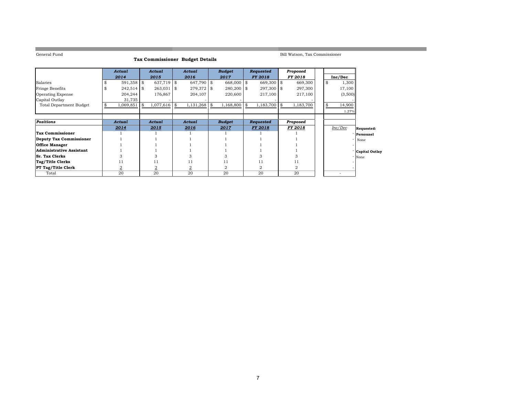the control of the control of the control of the control of the control of

Bill Watson, Tax Commissioner

a sa kacamatan ing Kabupatèn Kabupatèn Ing

|                                | Actual         | Actual<br><b>Actual</b> |                | <b>Budget</b><br>Requested |          |                |  | Proposed       |     |                |    |         |                  |
|--------------------------------|----------------|-------------------------|----------------|----------------------------|----------|----------------|--|----------------|-----|----------------|----|---------|------------------|
|                                | 2014           |                         | 2015           | 2016                       |          | 2017           |  | <b>FY 2018</b> |     | <b>FY 2018</b> |    | Inc/Dec |                  |
| Salaries                       | $591,358$ \$   |                         | 637,719 \$     | 647,790 \$                 |          | 668,000 \$     |  | 669,300 \$     |     | 669,300        | \$ | 1,300   |                  |
| Fringe Benefits                | $242,514$ \$   |                         | $263,031$ \$   | $279,372$ \$               |          | $280,200$ \$   |  | 297,300 \$     |     | 297,300        |    | 17,100  |                  |
| <b>Operating Expense</b>       | 204,244        |                         | 176,867        | 204,107                    |          | 220,600        |  | 217,100        |     | 217,100        |    | (3,500) |                  |
| Capital Outlay                 | 31,735         |                         |                |                            |          |                |  |                |     |                |    |         |                  |
| <b>Total Department Budget</b> | $1,069,851$ \$ |                         | $1,077,616$ \$ | 1,131,268                  | <b>S</b> | 1,168,800      |  | 1,183,700      | -\$ | 1,183,700      |    | 14,900  |                  |
|                                |                |                         |                |                            |          |                |  |                |     |                |    | 1.27%   |                  |
|                                |                |                         |                |                            |          |                |  |                |     |                |    |         |                  |
| <b>Positions</b>               | Actual         |                         | Actual         | <b>Actual</b>              |          | <b>Budget</b>  |  | Requested      |     | Proposed       |    |         |                  |
|                                | 2014           |                         | 2015           | 2016                       |          | 2017           |  | <b>FY 2018</b> |     | <b>FY 2018</b> |    | Inc/Dec | Requested:       |
| <b>Tax Commissioner</b>        |                |                         |                |                            |          |                |  |                |     |                |    |         | Personnel        |
| <b>Deputy Tax Commissioner</b> |                |                         |                |                            |          |                |  |                |     |                |    |         | None             |
| <b>Office Manager</b>          |                |                         |                |                            |          |                |  |                |     |                |    |         |                  |
| Administrative Assistant       |                |                         |                |                            |          |                |  |                |     |                |    |         | - Capital Outlay |
| <b>Sr. Tax Clerks</b>          |                |                         |                |                            |          |                |  |                |     |                |    |         | None             |
| <b>Tag/Title Clerks</b>        |                |                         | 11             |                            |          | 11             |  |                |     | 11             |    |         |                  |
| <b>PT Tag/Title Clerk</b>      | $\overline{2}$ |                         | $\overline{2}$ | 2                          |          | $\overline{2}$ |  |                |     | 2              |    |         |                  |
| Total                          | 20             |                         | 20             | 20                         |          | 20             |  | 20             |     | 20             |    |         |                  |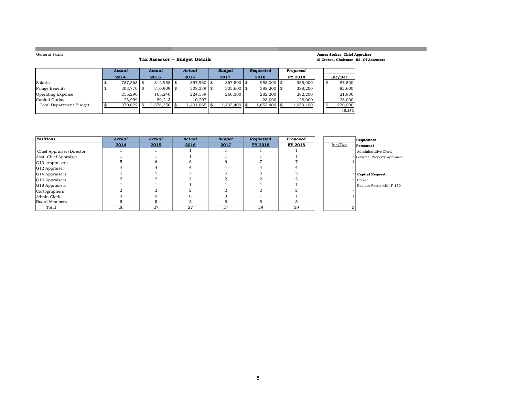**College** 

#### **Tax Assessor -- Budget Details**

#### **James Stokes, Chief Appraiser Al Craton, Chairman, Bd. Of Assessors**

<u> Linda a shekara ta 1989</u>

and the control of the control of the control of the control of the control of the control of the control of the

|                          | Actual |              | Actual |              | Actual |              | <b>Budget</b> |              |      | Requested     | Proposed  |  |         |  |         |
|--------------------------|--------|--------------|--------|--------------|--------|--------------|---------------|--------------|------|---------------|-----------|--|---------|--|---------|
|                          |        | 2014         |        | 2015         |        | 2016         |               | 2017         | 2018 |               |           |  | FY 2018 |  | Inc/Dec |
| Salaries                 |        | 787,563 \$   |        | $812,958$ \$ |        | 857,960 \$   |               | 867,500 \$   |      | $955,000$ \\$ | 955,000   |  | 87,500  |  |         |
| <b>Fringe Benefits</b>   |        | $303,770$ \$ |        | $310,909$ \$ |        | $308,339$ \$ |               | $305,600$ \$ |      | $388,200$ \$  | 388,200   |  | 82,600  |  |         |
| <b>Operating Expense</b> |        | 255.290      |        | 165.240      |        | 224,559      |               | 260,300      |      | 282.200       | 282,200   |  | 21,900  |  |         |
| Capital Outlay           |        | 23.999       |        | 89.243       |        | 10.207       |               |              |      | 28,000        | 28,000    |  | 28,000  |  |         |
| Total Department Budget  |        | 1,370,622    |        | 1,378,350 \$ |        | 1,401,065    |               | 1,433,400 \$ |      | 1,653,400     | 1,653,400 |  | 220,000 |  |         |
|                          |        |              |        |              |        |              |               |              |      |               |           |  | 15.35%  |  |         |

| Positions                | Actual | Actual | Actual | <b>Budget</b> | Requested | Proposed |         | Requested:                  |
|--------------------------|--------|--------|--------|---------------|-----------|----------|---------|-----------------------------|
|                          | 2014   | 2015   | 2016   | 2017          | FY 2018   | FY 2018  | Inc/Dec | Personnel                   |
| Chief Appraiser/Director |        |        |        |               |           |          |         | Administrative Clerk        |
| Asst. Chief Appraiser    |        |        |        |               |           |          |         | Personal Property Appraiser |
| G10 Appraisers           |        |        |        |               |           |          |         |                             |
| G12 Appraiser            |        |        |        |               |           |          |         |                             |
| G14 Appraisers           |        |        |        |               |           |          |         | <b>Capital Request:</b>     |
| G16 Appraisers           |        |        |        |               |           |          |         | Copier                      |
| G18 Appraisers           |        |        |        |               |           |          |         | - Replace Focus with F-150  |
| Cartographers            |        |        |        |               |           |          |         |                             |
| Admin Clerk              |        |        |        |               |           |          |         |                             |
| Board Members            |        |        |        |               |           |          |         |                             |
| Total                    | 26     | 27     | 27     | 27            | 29        | 29       |         |                             |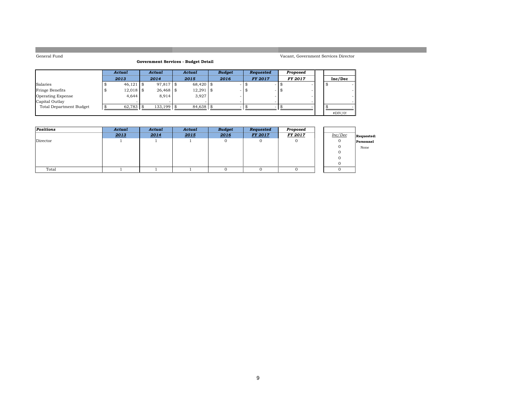#### **Government Services - Budget Detail**

|                                | Actual      | Actual |             | Actual      | <b>Budget</b> | <b>Requested</b> | Proposed      |         |  |
|--------------------------------|-------------|--------|-------------|-------------|---------------|------------------|---------------|---------|--|
|                                | 2013        |        | 2014        | 2015        | 2016          | <b>FY 2017</b>   | <b>FY2017</b> | Inc/Dec |  |
| Salaries                       | $46,121$ \$ |        | 97,817 \$   | 68,420 \$   | -             |                  |               |         |  |
| Fringe Benefits                | $12,018$ \$ |        | $26,468$ \$ | $12,291$ \$ |               |                  |               |         |  |
| Operating Expense              | 4.644       |        | 8.914       | 3,927       |               |                  |               |         |  |
| Capital Outlay                 |             |        |             |             |               |                  | $\sim$        |         |  |
| <b>Total Department Budget</b> | 62,783 \$   |        | 133.199 \$  | 84,638 \$   | $\sim$        |                  |               |         |  |
|                                |             |        |             |             |               |                  |               | #DIV/0! |  |

| Positions | Actual | Actual | Actual | <b>Budget</b> | Requested      | Proposed       |         |            |
|-----------|--------|--------|--------|---------------|----------------|----------------|---------|------------|
|           | 2013   | 2014   | 2015   | 2016          | <b>FY 2017</b> | <b>FY 2017</b> | Inc/Dec | Requested: |
| Director  |        |        |        |               |                |                |         | Personnel  |
|           |        |        |        |               |                |                |         | None       |
|           |        |        |        |               |                |                |         |            |
|           |        |        |        |               |                |                |         |            |
|           |        |        |        |               |                |                |         |            |
| Total     |        |        |        |               |                |                |         |            |

### 9

Vacant, Government Services Director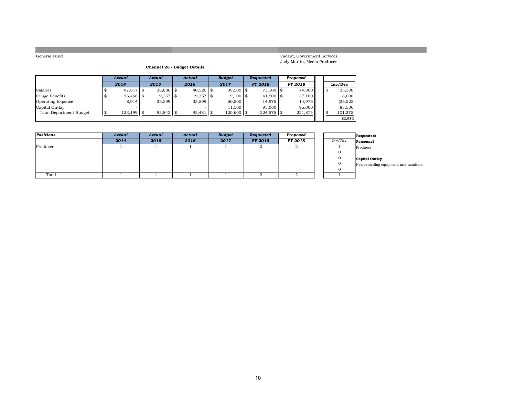Vacant, Government Services Jody Martin, Media Producer

#### **Channel 23 - Budget Details**

|                          |   | Actual      | Actual      | Actual      |    | <b>Budget</b> | <b>Requested</b> | Proposed       |    |           |
|--------------------------|---|-------------|-------------|-------------|----|---------------|------------------|----------------|----|-----------|
|                          |   | 2014        | 2015        | 2016        |    | 2017          | <b>FY 2018</b>   | <b>FY 2018</b> |    | Inc/Dec   |
| Salaries                 |   | 97,817 \$   | $38.886$ \$ | $40.526$ \$ |    | $39,500$ \$   | 73,100 \$        | 74.800         | -8 | 35,300    |
| <b>Fringe Benefits</b>   | Æ | $26,468$ \$ | $19,357$ \$ | 19,357      | 15 | $19,100$ \$   | $41,500$ \$      | 37.100         |    | 18,000    |
| <b>Operating Expense</b> |   | 8,914       | 35.599      | 35,599      |    | 50,500        | 14.975           | 14.975         |    | (35, 525) |
| Capital Outlay           |   |             |             |             |    | 11.500        | 95,000           | 95,000         |    | 83,500    |
| Total Department Budget  |   | 133,199     | $93,842$ \$ | 95,481      |    | $120,600$ \$  | $224,575$ \$     | 221,875        |    | 101.275   |
|                          |   |             |             |             |    |               |                  |                |    | 83.98%    |

| Positions | Actual | Actual | Actual | <b>Budget</b> | Requested      | Proposed       |         | Requested:     |
|-----------|--------|--------|--------|---------------|----------------|----------------|---------|----------------|
|           | 2014   | 2015   | 2016   | 2017          | <b>FY 2018</b> | <b>FY 2018</b> | Inc/Dec | Personnel      |
| Producer  |        |        |        |               |                | ▵              |         | Producer       |
|           |        |        |        |               |                |                |         |                |
|           |        |        |        |               |                |                |         | Capital Outlay |
|           |        |        |        |               |                |                |         | New recording  |
|           |        |        |        |               |                |                |         |                |
| Total     |        |        |        |               |                |                |         |                |

g equipment and monitors

10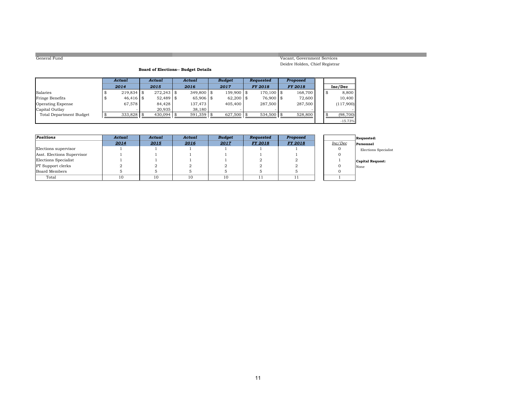#### Vacant, Government Services Deidre Holden, Chief Registrar

#### **Board of Elections-- Budget Details**

|                          | Actual       | Actual        | Actual       | <b>Budget</b> | <b>Requested</b> | Proposed       |    |           |
|--------------------------|--------------|---------------|--------------|---------------|------------------|----------------|----|-----------|
|                          | 2014         | 2015          | 2016         | 2017          | <b>FY 2018</b>   | <b>FY 2018</b> |    | Inc/Dec   |
| Salaries                 | $219,834$ \$ | $272.243$ \\$ | $349.800$ \$ | 159,900 \$    | $170.100$ \\$    | 168.700        | -S | 8,800     |
| <b>Fringe Benefits</b>   | $46,416$ \$  | $52,489$ \$   | $65.906$ \$  | $62,200$ \$   | 76,900 \$        | 72.600         |    | 10,400    |
| <b>Operating Expense</b> | 67,578       | 84.428        | 137.473      | 405,400       | 287,500          | 287,500        |    | (117,900) |
| Capital Outlay           |              | 20.935        | 38,180       |               |                  |                |    |           |
| Total Department Budget  | 333,828      | $430.094$ \\$ | 591,359      | $627,500$ \$  | $534.500$ \\$    | 528,800        |    | (98, 700) |
|                          |              |               |              |               |                  |                |    | $-15.73%$ |

| Positions                  | Actual | Actual | Actual | <b>Budget</b> | Requested      | Proposed       |         | Requested:           |
|----------------------------|--------|--------|--------|---------------|----------------|----------------|---------|----------------------|
|                            | 2014   | 2015   | 2016   | 2017          | <b>FY 2018</b> | <b>FY 2018</b> | Inc/Dec | Personnel            |
| Elections supervisor       |        |        |        |               |                |                |         | Elections Specialist |
| Asst. Elections Supervisor |        |        |        |               |                |                |         |                      |
| Elections Specialist       |        |        |        |               |                |                |         | Capital Request:     |
| <b>PT</b> Support clerks   |        |        |        |               |                |                |         | None                 |
| Board Members              |        |        |        |               |                |                |         |                      |
| Total                      | 10     | 10     | 10     | 10            |                |                |         |                      |

| nc/Dec | Personnel               |
|--------|-------------------------|
| O      | <b>Elections</b> Specia |
| O      |                         |
|        | <b>Capital Request:</b> |
| O      | None                    |
|        |                         |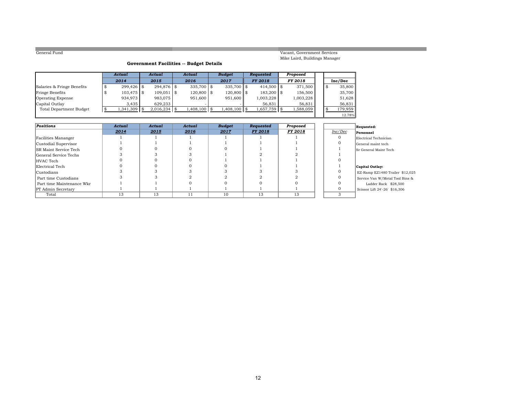Vacant, Government Services Mike Laird, Buildings Manager

#### **Government Facilities -- Budget Details**

|                            | Actual        |      | Actual         | Actual         | <b>Budget</b>  | Requested      | Proposed |                |    |         |
|----------------------------|---------------|------|----------------|----------------|----------------|----------------|----------|----------------|----|---------|
|                            | 2014          |      | 2015           | 2016           | 2017           | <b>FY 2018</b> |          | <b>FY 2018</b> |    | Inc/Dec |
| Salaries & Fringe Benefits | $299.426$ \$  |      | 294.876 \$     | $335,700$ \$   | $335.700$ \\$  | $414,500$ \$   |          | 371.500        | -8 | 35,800  |
| Fringe Benefits            | $103.475$ \\$ |      | $109.051$ \$   | $120,800$ \$   | $120.800$ \$   | $183,200$ \$   |          | 156.500        |    | 35,700  |
| <b>Operating Expense</b>   | 934,973       |      | 983.075        | 951,600        | 951.600        | 1,003,228      |          | 1,003,228      |    | 51,628  |
| Capital Outlay             | 3.435         |      | 629.233        |                |                | 56,831         |          | 56,831         |    | 56,831  |
| Total Department Budget    | 1,341,309     | l \$ | $2,016,234$ \$ | $1,408,100$ \$ | $1,408,100$ \$ | 1,657,759 \$   |          | 1,588,059      | Я  | 179.959 |
|                            |               |      |                |                |                |                |          |                |    | 12.78%  |

| <b>Positions</b>             | Actual | Actual | Actual | <b>Budget</b> | Requested      | Proposed       |         | Requested:                  |
|------------------------------|--------|--------|--------|---------------|----------------|----------------|---------|-----------------------------|
|                              | 2014   | 2015   | 2016   | 2017          | <b>FY 2018</b> | <b>FY 2018</b> | Inc/Dec | Personnel                   |
| Facilities Mananger          |        |        |        |               |                |                |         | Electrical Technician       |
| Custodial Supervisor         |        |        |        |               |                |                |         | General maint tech          |
| <b>SR Maint Service Tech</b> |        |        |        |               |                |                |         | <b>Sr</b> General Maint Tee |
| General Service Techs        |        |        |        |               |                |                |         |                             |
| HVAC Tech                    |        |        |        |               |                |                |         |                             |
| Electrical Tech              |        |        |        |               |                |                |         | Capital Outlay:             |
| <b>Custodians</b>            |        |        |        |               |                |                |         | EZ-Ramp EZ1480 T            |
| Part time Custodians         |        |        |        |               |                |                |         | Service Van W/Meta          |
| Part time Maintenance Wkr    |        |        |        |               |                |                |         | Ladder Rack                 |
| <b>PT</b> Admin Secretary    |        |        |        |               |                |                |         | Scissor Lift 24'-26'        |
| Total                        | 13     | 13     |        | 10            | 13             | 13             |         |                             |

# $\lceil$ Personnel

Sr General Maint Tech

 <sup>333</sup> <sup>33</sup> <sup>3</sup> <sup>0</sup> EZ-Ramp EZ1480 Trailer \$12,025 Service Van W/Metal Tool Bins & Ladder Rack \$28,500 Scissor Lift  $24'$ -26' \$16,306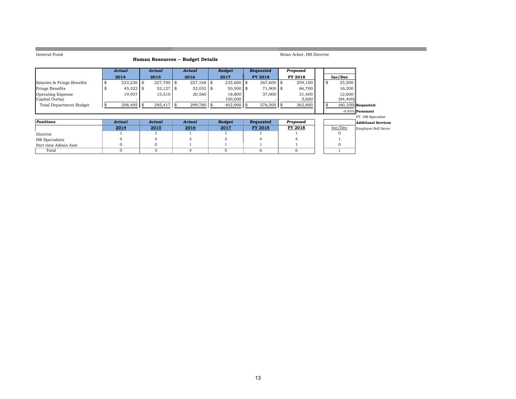**COL** 

#### **Human Resources -- Budget Details**

Brian Acker, HR Director

a sa kacamatan ing Kabupatèn Kabupatèn Kabupatèn Kabupatèn Kabupatèn Kabupatèn Kabupatèn Kabupatèn Kabupatèn K

|                                | Actual       | Actual        | Actual     |      | <b>Budget</b> |     | <b>Requested</b> | Proposed |               |                            |
|--------------------------------|--------------|---------------|------------|------|---------------|-----|------------------|----------|---------------|----------------------------|
|                                | 2014         | 2015          | 2016       |      | 2017          |     | <b>FY 2018</b>   | FY 2018  | Inc/Dec       |                            |
| Salaries & Fringe Benefits     | $233,236$ \$ | $227,780$ \$  | 227,168    | l \$ | $233,600$ \$  |     | $267,600$ \$     | 259,100  | 25,500<br>-\$ |                            |
| <b>Fringe Benefits</b>         | $45,322$ \$  | $52,127$   \$ | 52,052     | l \$ | $50,500$ \$   |     | 71,900 \$        | 66,700   | 16,200        |                            |
| <b>Operating Expense</b>       | 19.937       | 15,510        | 20,560     |      | 18,800        |     | 37,000           | 31,400   | 12,600        |                            |
| Capital Outlay                 |              |               |            |      | 100,000       |     |                  | 5,600    | (94, 400)     |                            |
| <b>Total Department Budget</b> | 298,495 \$   | 295,417 \$    | 299,780 \$ |      | 402,900       | 1 S | 376,500 \$       | 362,800  |               | $(40, 100)$ Requested:     |
|                                |              |               |            |      |               |     |                  |          |               | $-9.95\%$ Personnel        |
|                                |              |               |            |      |               |     |                  |          |               | FT-HR Specialist           |
| <b>Positions</b>               | Actual       | Actual        | Actual     |      | <b>Budget</b> |     | Requested        | Proposed |               | <b>Additional Services</b> |
|                                | 2014         | 2015          | 2016       |      | 2017          |     | <b>FY 2018</b>   | FY 2018  | Inc/Dec       | Employee Self Serve        |
| Director                       |              |               |            |      |               |     |                  |          |               |                            |
| HR Specialists                 |              |               |            |      |               |     |                  |          |               |                            |
| Part time Admin Asst           |              | 0             |            |      |               |     |                  |          |               |                            |
| Total                          |              | 5             |            |      |               |     | 6                | 6        |               |                            |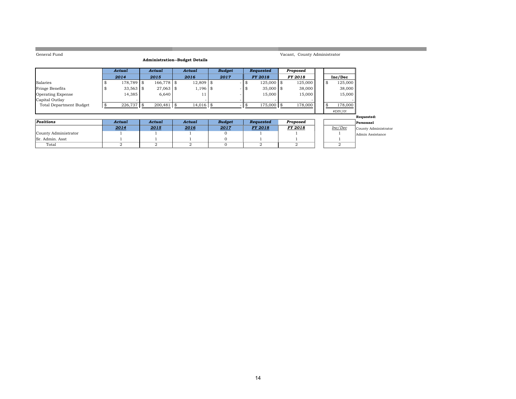| General Fund                   |   |                |                |                                       |               |               |                    | Vacant, County Administrator |                |                      |
|--------------------------------|---|----------------|----------------|---------------------------------------|---------------|---------------|--------------------|------------------------------|----------------|----------------------|
|                                |   |                |                | <b>Administration--Budget Details</b> |               |               |                    |                              |                |                      |
|                                |   |                |                |                                       |               |               |                    |                              |                |                      |
|                                |   | Actual         | Actual         | Actual                                | <b>Budget</b> |               | Requested          | Proposed                     |                |                      |
|                                |   | 2014           | 2015           | 2016                                  | 2017          |               | <b>FY 2018</b>     | <b>FY2018</b>                | Inc/Dec        |                      |
| Salaries                       |   | 178,789 \$     | 166,778 \$     | $12,809$ \$                           |               |               | 125,000 \$<br>\$   | 125,000                      | \$<br>125,000  |                      |
| Fringe Benefits                | s | $33,563$ \$    | $27,063$ \$    | $1,196$ \$                            |               |               | $35,000$ \$<br>-\$ | 38,000                       | 38,000         |                      |
| <b>Operating Expense</b>       |   | 14,385         | 6,640          | 11                                    |               |               | 15,000             | 15,000                       | 15,000         |                      |
| Capital Outlay                 |   |                |                |                                       |               |               |                    |                              |                |                      |
| <b>Total Department Budget</b> |   | 226,737 \$     | $200,481$ \$   | $14,016$ \$                           |               | $\frac{1}{3}$ | 175,000 \$         | 178,000                      | 178,000        |                      |
|                                |   |                |                |                                       |               |               |                    |                              | #DIV/0!        |                      |
|                                |   |                |                |                                       |               |               |                    |                              |                | Requested:           |
| <b>Positions</b>               |   | Actual         | Actual         | Actual                                | <b>Budget</b> |               | Requested          | Proposed                     |                | Personnel            |
|                                |   | 2014           | 2015           | 2016                                  | 2017          |               | <b>FY 2018</b>     | <b>FY 2018</b>               | Inc/Dec        | County Administrator |
| County Administrator           |   |                |                |                                       | 0             |               |                    |                              |                | Admin Assistance     |
| Sr. Admin. Asst                |   |                |                |                                       | $\Omega$      |               |                    |                              |                |                      |
| Total                          |   | $\overline{2}$ | $\overline{2}$ | $\overline{2}$                        | $\Omega$      |               | $\overline{2}$     | $\overline{2}$               | $\overline{2}$ |                      |

14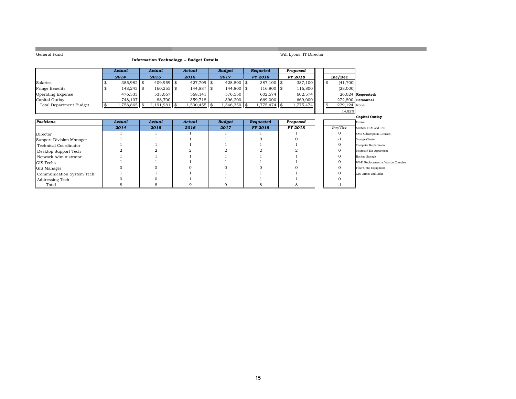| General Fund                   |                          |               | <b>Information Technology -- Budget Details</b> |               |                | Will Lyons, IT Director |                      |                                     |
|--------------------------------|--------------------------|---------------|-------------------------------------------------|---------------|----------------|-------------------------|----------------------|-------------------------------------|
|                                |                          |               |                                                 |               |                |                         |                      |                                     |
|                                | <b>Actual</b>            | <b>Actual</b> | Actual                                          | <b>Budget</b> | Requeted       | Proposed                |                      |                                     |
|                                | 2014                     | 2015          | 2016                                            | 2017          | <b>FY 2018</b> | FY 2018                 | Inc/Dec              |                                     |
| Salaries                       | 385,982 \$               | 409,959 \$    | 427,709 \$                                      | 428,800 \$    | $387,100$ \$   | 387,100                 | \$<br>(41,700)       |                                     |
| <b>Fringe Benefits</b>         | $148,243$ \$<br>-SS      | $160,255$ \$  | $144,887$ \$                                    | 144,800 \$    | $116,800$ \$   | 116,800                 | (28,000)             |                                     |
| Operating Expense              | 476,533                  | 533,067       | 568,141                                         | 576,550       | 602,574        | 602,574                 |                      | $26,024$ Requested:                 |
| Capital Outlay                 | 748,107                  | 88,700        | 359,718                                         | 396,200       | 669,000        | 669,000                 |                      | 272.800 Personnel                   |
| <b>Total Department Budget</b> | 1,758,865 \$<br><b>S</b> | 1,191,981     | $\sqrt{3}$<br>$1,500,455$ \$                    | 1,546,350 \$  | $1,775,474$ \$ | 1,775,474               | \$<br>$229,124$ None |                                     |
|                                |                          |               |                                                 |               |                |                         | 14.82%               |                                     |
|                                |                          |               |                                                 |               |                |                         |                      | Capital Outlay                      |
| <b>Positions</b>               | Actual                   | Actual        | Actual                                          | <b>Budget</b> | Requested      | Proposed                |                      | Firewall                            |
|                                | 2014                     | 2015          | 2016                                            | 2017          | <b>FY 2018</b> | <b>FY 2018</b>          | Inc/Dec              | <b>MUNIS TCM and CSS</b>            |
| Director                       |                          |               |                                                 |               |                |                         | $\mathbf{0}$         | <b>SMS</b> Subscription Licenses    |
| Support Division Manager       |                          |               |                                                 |               |                |                         | -1                   | Storage Cluster                     |
| <b>Technical Coordinator</b>   |                          |               |                                                 |               |                |                         | $\mathbf{0}$         | <b>Computer Replacement</b>         |
| Desktop Support Tech           |                          |               |                                                 |               |                |                         | $\mathbf{0}$         | Microsoft EA Agreement              |
| Network Administrator          |                          |               |                                                 |               |                |                         | $\mathbf{0}$         | <b>Backup Storage</b>               |
| GIS Techs                      |                          |               |                                                 |               |                |                         | $\mathbf{0}$         | Wi-Fi Replacement at Watson Complex |
| GIS Manager                    |                          |               |                                                 |               |                |                         | $\mathbf{0}$         | <b>Fiber Optic Equipment</b>        |
| Communication System Tech      |                          |               |                                                 |               |                |                         | $\mathbf{0}$         | <b>GIS Orthos and Lidar</b>         |
| Addressing Tech                | $\overline{0}$           | 0             |                                                 |               |                |                         | $\mathbf{0}$         |                                     |
| Total                          | 8                        | 8             | 9                                               | 9             | 8              | 8                       | -1                   |                                     |

## 15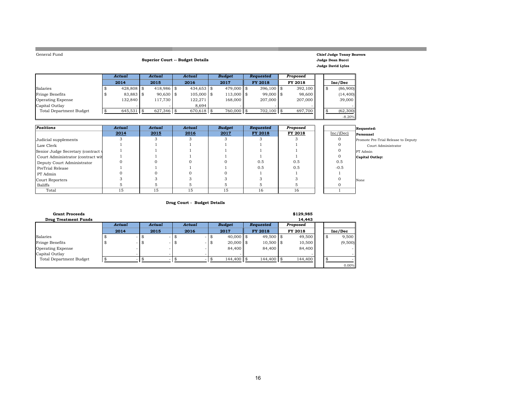| General Fund |  |
|--------------|--|
|              |  |

m.

#### **Superior Court -- Budget Details**

#### **Chief Judge Tonny Beavers Judge Dean Bucci Judge David Lyles**

-8.20%

|                                | Actual       | Actual |              | Actual       | <b>Budaet</b>  | <b>Requested</b> | Proposed |    |           |
|--------------------------------|--------------|--------|--------------|--------------|----------------|------------------|----------|----|-----------|
|                                | 2014         |        | 2015         | 2016         | 2017           | <b>FY 2018</b>   | FY 2018  |    | Inc/Dec   |
| Salaries                       | $428,808$ \$ |        | $418,986$ \$ | $434,653$ \$ | $479,000$ \ \$ | $396,100$ \$     | 392,100  | \$ | (86,900)  |
| Fringe Benefits                | 83,883 \$    |        | $90,630$ \$  | $105,000$ \$ | $113,000$ \$   | $99,000$ \$      | 98,600   |    | (14, 400) |
| <b>Operating Expense</b>       | 132.840      |        | 117.730      | 122,271      | 168,000        | 207,000          | 207,000  |    | 39,000    |
| Capital Outlay                 |              |        |              | 8.694        |                |                  |          |    |           |
| <b>Total Department Budget</b> | 645.531      | l \$   | $627.346$ \$ | $670,618$ \$ | 760,000 \$     | 702,100 \$       | 697.700  |    | (62, 300) |
|                                |              |        |              |              |                |                  |          |    |           |

| Positions                          | Actual | Actual | Actual | <b>Budget</b> | Requested | Proposed |           | Requested:                          |
|------------------------------------|--------|--------|--------|---------------|-----------|----------|-----------|-------------------------------------|
|                                    | 2014   | 2015   | 2016   | 2017          | FY 2018   | FY 2018  | Inc/(Dec) | Personnel                           |
| Judicial supplements               |        |        |        |               |           |          |           | Promote Pre-Trial Release to Deputy |
| Law Clerk                          |        |        |        |               |           |          |           | Court Administrator                 |
| Senior Judge Secretary (contract v |        |        |        |               |           |          |           | PT Admin                            |
| Court Administrator (contract wit  |        |        |        |               |           |          |           | <b>Capital Outlay:</b>              |
| Deputy Court Administrator         |        |        |        |               | 0.5       | 0.5      | 0.5       |                                     |
| PreTrial Release                   |        |        |        |               | 0.5       | 0.5      | $-0.5$    |                                     |
| PT Admin                           |        |        |        |               |           |          |           |                                     |
| Court Reporters                    |        |        |        |               |           |          |           | None                                |
| Baliffs                            |        |        |        |               |           |          |           |                                     |
| Total                              | 15     | 15     | 15     | 15            | 16        | 16       |           |                                     |

#### **Drug Court - Budget Details**

| <b>Grant Proceeds</b>          |        |   |                  |      |        |    |               |                | \$129,985 |    |          |
|--------------------------------|--------|---|------------------|------|--------|----|---------------|----------------|-----------|----|----------|
| <b>Drug Treatment Funds</b>    |        |   |                  |      |        |    |               |                | 14,443    |    |          |
|                                | Actual |   | Actual           |      | Actual |    | <b>Budget</b> | Requested      | Proposed  |    |          |
|                                | 2014   |   | 2015             |      | 2016   |    | 2017          | <b>FY 2018</b> | FY 2018   |    | Inc/Dec  |
| Salaries                       | $\sim$ |   | $\sim$ 100 $\pm$ |      |        | ŭ  | $40,000$ \$   | $49,500$ \$    | 49,500    | \$ | 9,500    |
| Fringe Benefits                | ۰      | ъ | $\sim$           | - \$ |        | \$ | $20,000$ \$   | $10,500$ \$    | 10,500    |    | (9,500)  |
| Operating Expense              |        |   |                  |      |        |    | 84,400        | 84,400         | 84,400    |    |          |
| Capital Outlay                 |        |   |                  |      |        |    |               |                |           |    | $\sim$   |
| <b>Total Department Budget</b> |        |   |                  |      |        |    | 144,400 \$    | $144,400$ \\$  | 144,400   |    |          |
|                                |        |   |                  |      |        |    |               |                |           |    | $0.00\%$ |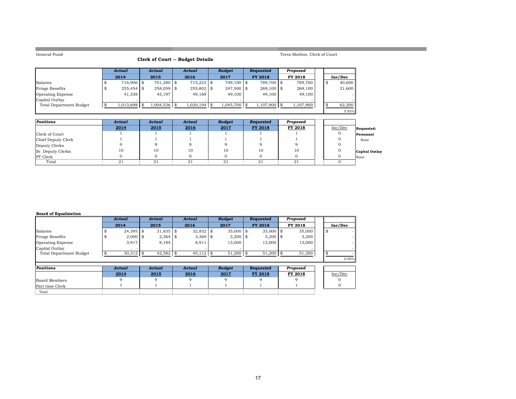**College** 

#### **Clerk of Court -- Budget Details**

Treva Shelton, Clerk of Court

a sa kacamatan ing Kabupatèn Kabupatèn Kabupatèn Kabupatèn Kabupatèn Kabupatèn Kabupatèn Kabupatèn Kabupatèn K

|                                | Actual        | Actual |               | Actual          | <b>Budget</b>  | <b>Requested</b> | Proposed  |    |         |
|--------------------------------|---------------|--------|---------------|-----------------|----------------|------------------|-----------|----|---------|
|                                | 2014          |        | 2015          | 2016            | 2017           | FY 2018          | FY 2018   |    | Inc/Dec |
| Salaries                       | $716.906$ \\$ |        | $701.280$ \\$ | $715.223$ \\$   | 749.100 \$     | 789.700 \$       | 789.700   | \$ | 40,600  |
| Fringe Benefits                | $255.454$ \\$ |        | $258,059$ \$  | 255,802 \$      | $247.500$ \\$  | $269.100$ \$     | 269,100   |    | 21,600  |
| <b>Operating Expense</b>       | 41.338        |        | 45.197        | 49.169          | 49,100         | 49,100           | 49.100    |    | $\sim$  |
| Capital Outlay                 |               |        |               |                 |                |                  |           |    |         |
| <b>Total Department Budget</b> | 1.013.698     |        | 1.004.536 \$  | $1.020.194$ \\$ | $1,045,700$ \$ | $1.107.900$ \\$  | 1.107.900 |    | 62.200  |
|                                |               |        |               |                 |                |                  |           |    | 5.95%   |

| Positions          | Actual | Actual | Actual | <b>Budget</b> | Requested | Proposed |         |                       |
|--------------------|--------|--------|--------|---------------|-----------|----------|---------|-----------------------|
|                    | 2014   | 2015   | 2016   | 2017          | FY 2018   | FY 2018  | Inc/Dec | Requested:            |
| Clerk of Court     |        |        |        |               |           |          |         | Personnel             |
| Chief Deputy Clerk |        |        |        |               |           |          |         | None                  |
| Deputy Clerks      |        |        |        |               |           |          |         |                       |
| Sr. Deputy Clerks  | 10     | 10     | 10     | 10            | 10        | 10       |         | <b>Capital Outlay</b> |
| <b>PT</b> Clerk    |        |        |        |               |           |          |         | None                  |
| Total              | 21     | 21     | 21     | 21            | 21        | 21       |         |                       |

#### **Board of Equalization**

|                                |     | Actual      |      | <b>Actual</b> | Actual      |      | <b>Budget</b> | <b>Requested</b> | Proposed |      |         |
|--------------------------------|-----|-------------|------|---------------|-------------|------|---------------|------------------|----------|------|---------|
|                                |     | 2014        |      | 2015          | 2016        |      | 2017          | <b>FY 2018</b>   | FY 2018  |      | Inc/Dec |
| Salaries                       |     | 24,395      | - \$ | $31,835$ \$   | $32,832$ \$ |      | $35,000$ \$   | $35,000$ \$      | 35,000   | - \$ |         |
| Fringe Benefits                |     | 2,000       | - \$ | $2,364$ \$    | 3,369       | l \$ | $3,200$ \\$   | $3,200$ \$       | 3,200    |      |         |
| <b>Operating Expense</b>       |     | 3,917       |      | 8,184         | 8,911       |      | 13,000        | 13,000           | 13,000   |      |         |
| Capital Outlay                 |     |             |      |               |             |      |               |                  |          |      |         |
| <b>Total Department Budget</b> | -\$ | $30,312$ \$ |      | $42,382$ \$   | $45,112$ \$ |      | $51,200$ \$   | $51,200$ \$      | 51,200   | -\$  |         |
|                                |     |             |      |               |             |      |               |                  |          |      | 0.00%   |
| Positions                      |     | Actual      |      | Actual        | Actual      |      | <b>Budget</b> | Requested        | Proposed |      |         |
|                                |     | 2014        |      | 2015          | 2016        |      | 2017          | <b>FY 2018</b>   | FY 2018  |      | Inc/Dec |
| Board Members                  |     | 9           |      | 9             | 9           |      | 9             |                  |          |      |         |
| Part time Clerk                |     |             |      |               |             |      |               |                  |          |      |         |
| Total                          |     |             |      |               |             |      |               |                  |          |      |         |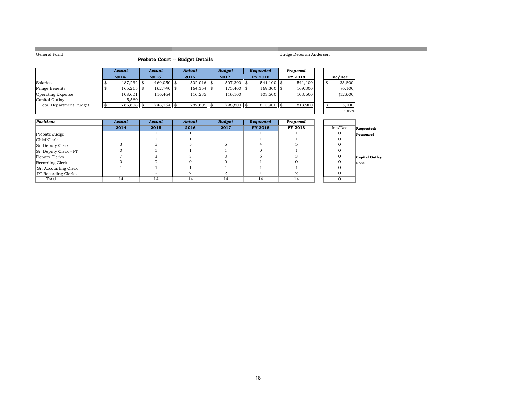**College** 

# Judge Deborah Andersen

a an

|  |  | Probate Court -- Budget Details |  |  |  |  |  |  |
|--|--|---------------------------------|--|--|--|--|--|--|
|--|--|---------------------------------|--|--|--|--|--|--|

|                                | Actual       | Actual        |  | Actual       | <b>Budget</b> | <b>Requested</b> | Proposed |    |          |
|--------------------------------|--------------|---------------|--|--------------|---------------|------------------|----------|----|----------|
|                                | 2014         | 2015          |  | 2016         | 2017          | FY 2018          | FY 2018  |    | Inc/Dec  |
| Salaries                       | $487.232$ \$ | $469,050$ \$  |  | $502,016$ \$ | $507.300$ \\$ | $541.100$ \\$    | 541.100  | S. | 33,800   |
| Fringe Benefits                | $165,215$ \$ | $162,740$ \$  |  | 164,354 \$   | 175,400 \$    | 169,300 \$       | 169,300  |    | (6, 100) |
| <b>Operating Expense</b>       | 108,601      | 116,464       |  | 116,235      | 116.100       | 103,500          | 103,500  |    | (12,600) |
| Capital Outlay                 | 5.560        |               |  |              |               |                  |          |    |          |
| <b>Total Department Budget</b> | $766,608$ \$ | $748.254$ \\$ |  | 782.605 \$   | 798.800       | $813.900$ \\$    | 813,900  |    | 15,100   |
|                                |              |               |  |              |               |                  |          |    | 1.89%    |

| Positions             | Actual | Actual | Actual | <b>Budget</b> | Requested | Proposed |         |                |
|-----------------------|--------|--------|--------|---------------|-----------|----------|---------|----------------|
|                       | 2014   | 2015   | 2016   | 2017          | FY 2018   | FY 2018  | Inc/Dec | Requested:     |
| Probate Judge         |        |        |        |               |           |          |         | Personnel      |
| Chief Clerk           |        |        |        |               |           |          |         |                |
| Sr. Deputy Clerk      |        |        |        |               |           |          |         |                |
| Sr. Deputy Clerk - PT |        |        |        |               |           |          |         |                |
| Deputy Clerks         |        |        |        |               |           |          |         | Capital Outlay |
| Recording Clerk       |        |        |        |               |           |          |         | None           |
| Sr. Accounting Clerk  |        |        |        |               |           |          |         |                |
| PT Recording Clerks   |        |        |        |               |           |          |         |                |
| Total                 | 14     | 14     | 14     | 14            | 14        | 14       |         |                |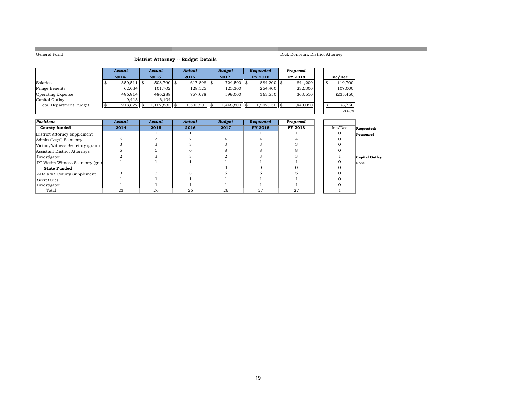**COL** 

### **District Attorney -- Budget Details**

Dick Donovan, District Attorney

-0.60%

a sa kacamatan ing Kabupatèn Kabupatèn Kabupatèn Kabupatèn Kabupatèn Kabupatèn Kabupatèn Kabupatèn Kabupatèn K

|                                | Actual       | Actual        |  | Actual         | <b>Budget</b> | <b>Requested</b> | Proposed  |  |            |
|--------------------------------|--------------|---------------|--|----------------|---------------|------------------|-----------|--|------------|
|                                | 2014         | 2015          |  | 2016           | 2017          | FY 2018          | FY 2018   |  | Inc/Dec    |
| Salaries                       | $350,511$ \$ | $508.790$ \\$ |  | $617.898$ \\$  | $724,500$ \$  | 884.200 \$       | 844,200   |  | 119.700    |
| Fringe Benefits                | 62,034       | 101.702       |  | 128.525        | 125.300       | 254,400          | 232,300   |  | 107,000    |
| Operating Expense              | 496.914      | 486.288       |  | 757.078        | 599,000       | 363.550          | 363,550   |  | (235, 450) |
| Capital Outlay                 | 9.413        | 6.104         |  |                |               |                  |           |  |            |
| <b>Total Department Budget</b> | 918,872 \$   | $,102,883$ \$ |  | $1,503,501$ \$ | 1,448,800 \$  | $1,502,150$ \$   | 1,440,050 |  | (8,750)    |

| <b>Positions</b>                  | Actual | Actual | Actual | <b>Budget</b> | Requested | Proposed |         |                |
|-----------------------------------|--------|--------|--------|---------------|-----------|----------|---------|----------------|
| <b>County funded</b>              | 2014   | 2015   | 2016   | 2017          | FY 2018   | FY 2018  | Inc/Dec | Requested:     |
| District Attorney supplement      |        |        |        |               |           |          |         | Personnel      |
| Admin (Legal) Secretary           |        |        |        |               |           |          |         |                |
| Victim/Witness Secretary (grant)  |        |        |        |               |           |          |         |                |
| Assistant District Attorneys      |        |        |        |               |           |          |         |                |
| Investigator                      |        |        |        |               |           |          |         | Capital Outlay |
| PT Victim Witness Secretary (gran |        |        |        |               |           |          |         | None           |
| <b>State Funded</b>               |        |        |        |               |           |          |         |                |
| ADA's w/ County Supplement        |        |        |        |               |           |          |         |                |
| Secretaries                       |        |        |        |               |           |          |         |                |
| Investigator                      |        |        |        |               |           |          |         |                |
| Total                             | 23     | 26     | 26     | 26            | 27        | 27       |         |                |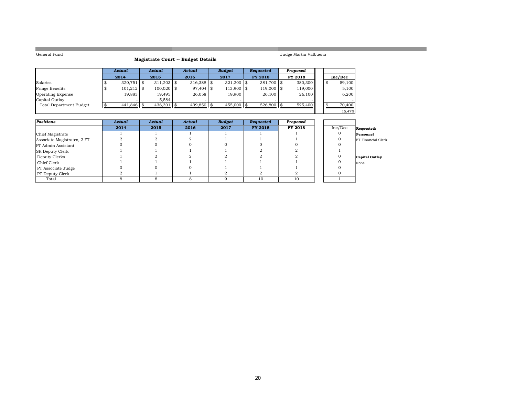**COL** 

### **Magistrate Court -- Budget Details**

Judge Martin Valbuena

|                          | Actual       |     | Actual        | Actual       | <b>Budaet</b> | <b>Requested</b> | Proposed |      |         |
|--------------------------|--------------|-----|---------------|--------------|---------------|------------------|----------|------|---------|
|                          | 2014         |     | 2015          | 2016         | 2017          | <b>FY 2018</b>   | FY 2018  |      | Inc/Dec |
| Salaries                 | 320.751      | 1 S | $311.203$ \\$ | $316.388$ \$ | $321.200$ \\$ | $381.700$ \$     | 380,300  | l \$ | 59,100  |
| Fringe Benefits          | $101,212$ \$ |     | $100,020$ \$  | 97,404 \$    | $113,900$ \$  | $119,000$ \$     | 119,000  |      | 5,100   |
| <b>Operating Expense</b> | 19,883       |     | 19,495        | 26,058       | 19,900        | 26,100           | 26,100   |      | 6,200   |
| Capital Outlay           |              |     | 5.584         |              |               |                  |          |      |         |
| Total Department Budget  | $441,846$ \$ |     | 436,301       | 439,850 \$   | $455,000$ \\$ | $526,800$ \$     | 525,400  |      | 70,400  |
|                          |              |     |               |              |               |                  |          |      | 15.47%  |

| <b>Positions</b>            | Actual | Actual | Actual | <b>Budget</b> | Requested | Proposed |         |                           |
|-----------------------------|--------|--------|--------|---------------|-----------|----------|---------|---------------------------|
|                             | 2014   | 2015   | 2016   | 2017          | FY 2018   | FY 2018  | Inc/Dec | Requested:                |
| Chief Magistrate            |        |        |        |               |           |          |         | Personnel                 |
| Associate Magistrates, 2 FT |        |        |        |               |           |          |         | <b>FT</b> Financial Clerk |
| PT Admin Assistant          |        |        |        |               |           |          |         |                           |
| <b>SR Deputy Clerk</b>      |        |        |        |               |           |          |         |                           |
| Deputy Clerks               |        |        |        |               |           |          |         | Capital Outlay            |
| Chief Clerk                 |        |        |        |               |           |          |         | None                      |
| PT Associate Judge          |        |        |        |               |           |          |         |                           |
| PT Deputy Clerk             |        |        |        |               |           |          |         |                           |
| Total                       |        |        |        |               | 10        | 10       |         |                           |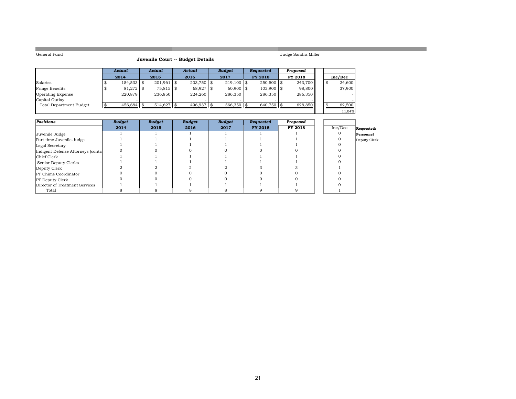the control of the control of the control of

# Judge Sandra Miller **Juvenile Court -- Budget Details**

and the control of the control of the control of the control of the control of the control of

| venile Court -- Budget Details |  |
|--------------------------------|--|
|--------------------------------|--|

|                          | Actual        | Actual        | Actual        | <b>Budget</b> | <b>Requested</b> | Proposed |  |         |
|--------------------------|---------------|---------------|---------------|---------------|------------------|----------|--|---------|
|                          | 2014          | 2015          | 2016          | 2017          | <b>FY 2018</b>   | FY 2018  |  | Inc/Dec |
| Salaries                 | $154.533$ \$  | $201,961$ \$  | $203.750$ \\$ | $219,100$ \$  | $250.500$ \\$    | 243.700  |  | 24,600  |
| Fringe Benefits          | $81,272$ \$   | 75,815 \$     | 68,927 \$     | $60,900$ \$   | $103,900$ \$     | 98,800   |  | 37,900  |
| <b>Operating Expense</b> | 220,879       | 236,850       | 224,260       | 286.350       | 286,350          | 286.350  |  |         |
| Capital Outlay           |               |               |               |               |                  |          |  |         |
| Total Department Budget  | $456.684$ \\$ | $514.627$ \\$ | 496.937       | $566.350$ \$  | 640.750          | 628,850  |  | 62,500  |
|                          |               |               |               |               |                  |          |  | 11.04%  |

| <b>Positions</b>                   | <b>Budget</b> | <b>Budget</b> | <b>Budget</b> | <b>Budget</b> | Requested | Proposed |         |              |
|------------------------------------|---------------|---------------|---------------|---------------|-----------|----------|---------|--------------|
|                                    | 2014          | 2015          | 2016          | 2017          | FY 2018   | FY 2018  | Inc/Dec | Requested:   |
| Juvenile Judge                     |               |               |               |               |           |          |         | Personnel    |
| Part time Juvenile Judge           |               |               |               |               |           |          |         | Deputy Clerk |
| Legal Secretary                    |               |               |               |               |           |          |         |              |
| Indigent Defense Attorneys (contra |               |               |               |               |           |          |         |              |
| Chief Clerk                        |               |               |               |               |           |          |         |              |
| Senior Deputy Clerks               |               |               |               |               |           |          |         |              |
| Deputy Clerk                       |               |               |               |               |           |          |         |              |
| <b>PT</b> Chims Coordinator        |               |               |               |               |           |          |         |              |
| <b>PT</b> Deputy Clerk             |               |               |               |               |           |          |         |              |
| Director of Treatment Services     |               |               |               |               |           |          |         |              |
| Total                              |               |               |               |               |           | a        |         |              |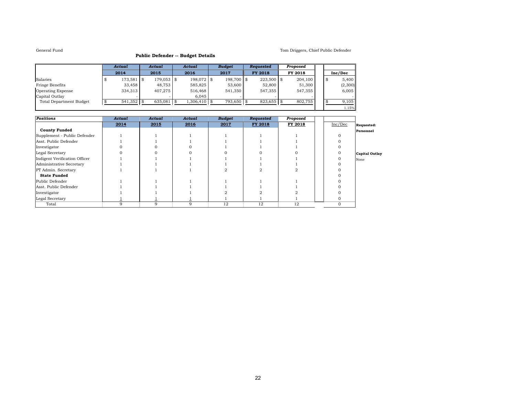#### Tom Driggers, Chief Public Defender

1.15%

#### **Public Defender -- Budget Details**

|                          | Actual  | Actual       | Actual         | <b>Budget</b> | <b>Requested</b> | Proposed |    |         |
|--------------------------|---------|--------------|----------------|---------------|------------------|----------|----|---------|
|                          | 2014    | 2015         | 2016           | 2017          | <b>FY 2018</b>   | FY 2018  |    | Inc/Dec |
| Salaries                 | 173,581 | $179,053$ \$ | $198.072$ \$   | 198.700 \$    | $223,500$ \$     | 204,100  | \$ | 5,400   |
| Fringe Benefits          | 33.458  | 48.753       | 585.825        | 53,600        | 52,800           | 51,300   |    | (2,300) |
| <b>Operating Expense</b> | 334,313 | 407.275      | 516,468        | 541.350       | 547.355          | 547,355  |    | 6,005   |
| Capital Outlay           |         |              | 6.045          |               |                  |          |    |         |
| Total Department Budget  | 541,352 | 635,081      | $1,306,410$ \$ | 793.650       | 823,655          | 802.755  |    | 9,105   |

| <b>Positions</b>              | Actual | Actual | Actual | <b>Budget</b> | Requested | Proposed |         |                |
|-------------------------------|--------|--------|--------|---------------|-----------|----------|---------|----------------|
|                               | 2014   | 2015   | 2016   | 2017          | FY 2018   | FY 2018  | Inc/Dec | Requested:     |
| <b>County Funded</b>          |        |        |        |               |           |          |         | Personnel      |
| Supplement - Public Defender  |        |        |        |               |           |          |         |                |
| Asst. Public Defender         |        |        |        |               |           |          |         |                |
| Investigator                  |        |        |        |               |           |          |         |                |
| Legal Secretary               |        |        |        |               |           |          |         | Capital Outlay |
| Indigent Verification Officer |        |        |        |               |           |          |         | None           |
| Administrative Secretary      |        |        |        |               |           |          |         |                |
| PT Admin. Secretary           |        |        |        |               |           |          |         |                |
| <b>State Funded</b>           |        |        |        |               |           |          |         |                |
| Public Defender               |        |        |        |               |           |          |         |                |
| Asst. Public Defender         |        |        |        |               |           |          |         |                |
| Investigator                  |        |        |        |               |           |          |         |                |
| Legal Secretary               |        |        |        |               |           |          |         |                |
| Total                         | 9      | 9      | 9      | 12            | 12        | 12       |         |                |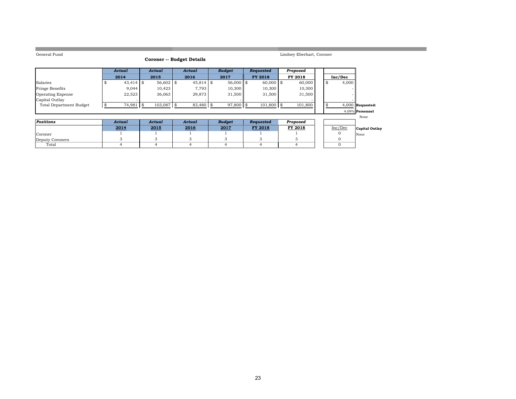|                                |             | <b>Coroner -- Budget Details</b> |             |      |               |                  |          |    |          |                    |
|--------------------------------|-------------|----------------------------------|-------------|------|---------------|------------------|----------|----|----------|--------------------|
|                                | Actual      | Actual                           | Actual      |      | <b>Budget</b> | Requested        | Proposed |    |          |                    |
|                                | 2014        | 2015                             | 2016        |      | 2017          | <b>FY 2018</b>   | FY 2018  |    | Inc/Dec  |                    |
| Salaries                       | $43,414$ \$ | 56,602 \$                        | $45,814$ \$ |      | $56,000$ \$   | $60,000$ \$      | 60,000   | \$ | 4,000    |                    |
| Fringe Benefits                | 9,044       | 10,423                           | 7,793       |      | 10,300        | 10,300           | 10,300   |    |          |                    |
| Operating Expense              | 22,523      | 36,063                           | 29,873      |      | 31,500        | 31,500           | 31,500   |    |          |                    |
| Capital Outlay                 |             |                                  |             |      |               |                  |          |    |          |                    |
| <b>Total Department Budget</b> | 74,981      | \$<br>103,087                    | 83,480      | l \$ | $97,800$ \$   | $101,800$ \$     | 101,800  |    |          | $4,000$ Requested: |
|                                |             |                                  |             |      |               |                  |          |    |          | 4.09% Personnel    |
|                                |             |                                  |             |      |               |                  |          |    |          | None               |
| Positions                      | Actual      | Actual                           | Actual      |      | <b>Budget</b> | <b>Requested</b> | Proposed |    |          |                    |
|                                | 2014        | 2015                             | 2016        |      | 2017          | FY 2018          | FY 2018  |    | Inc/Dec  | Capital Outlay     |
| Coroner                        |             |                                  |             |      |               |                  |          |    |          | None               |
| Deputy Coroners                | 3           | 3                                | 3           |      | 3             | 3                | 3        |    | 0        |                    |
| Total                          | 4           | $\overline{4}$                   | 4           |      | 4             | 4                | 4        |    | $\Omega$ |                    |
|                                |             |                                  |             |      |               |                  |          |    |          |                    |

Lindsey Eberhart, Coroner

and the control of the control of the control of the control of the control of the control of

General Fund

the control of the control of the control of the control of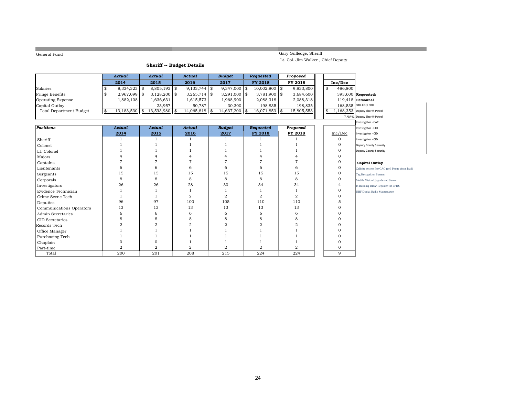|                                |                      | <b>Sheriff -- Budget Details</b> |                       |                |                       |      | Lt. Col. Jim Walker, Chief Deputy |    |              |                                                |
|--------------------------------|----------------------|----------------------------------|-----------------------|----------------|-----------------------|------|-----------------------------------|----|--------------|------------------------------------------------|
|                                | <b>Actual</b>        | <b>Actual</b>                    | Actual                | <b>Budget</b>  | <b>Requested</b>      |      | Proposed                          |    |              |                                                |
|                                | 2014                 | 2015                             | 2016                  | 2017           | FY 2018               |      | FY 2018                           |    | Inc/Dec      |                                                |
| Salaries                       | \$<br>$8,334,323$ \$ | $8,805,193$ \$                   | $9,133,744$ \$        | 9,347,000      | \$<br>$10,002,800$ \$ |      | 9,833,800                         | \$ | 486,800      |                                                |
| Fringe Benefits                | \$<br>2,967,099 \$   | $3,128,200$ \$                   | $3,265,714$ \$        | $3,291,000$ \$ | $3,781,900$ \$        |      | 3,684,600                         |    |              | 393,600 Requested:                             |
| <b>Operating Expense</b>       | 1,882,108            | 1,636,631                        | 1,615,573             | 1,968,900      | 2,088,318             |      | 2,088,318                         |    |              | $119,418$ Personnel                            |
| Capital Outlay                 |                      | 23,957                           | 50,787                | 30,300         | 198,835               |      | 198,835                           |    |              | 168,535 SRO-Corp SRO                           |
| <b>Total Department Budget</b> | \$<br>13,183,530     | \$<br>13,593,980                 | \$<br>$14,065,818$ \$ | 14,637,200     | \$<br>16,071,853      | l \$ | 15,805,553                        | \$ |              | 1,168,353 Deputy Sheriff-Patrol                |
|                                |                      |                                  |                       |                |                       |      |                                   |    |              | 7.98% Deputy Sheriff-Patrol                    |
|                                |                      |                                  |                       |                |                       |      |                                   |    |              | Investigator - CAC                             |
| <b>Positions</b>               | <b>Actual</b>        | <b>Actual</b>                    | <b>Actual</b>         | <b>Budget</b>  | <b>Requested</b>      |      | Proposed                          |    |              | Investigator - CID                             |
|                                | 2014                 | 2015                             | 2016                  | 2017           | FY 2018               |      | FY 2018                           |    | Inc/Dec      | Investigator - CID                             |
| Sheriff                        | 1                    | $\overline{1}$                   | $\mathbf{1}$          | $\mathbf{1}$   | $\overline{1}$        |      |                                   |    | $\mathbf 0$  | Investigator - CID                             |
| Colonel                        |                      |                                  |                       |                |                       |      |                                   |    | 0            | Deputy Courty Security                         |
| Lt. Colonel                    |                      |                                  |                       |                |                       |      |                                   |    | 0            | Deputy Courty Security                         |
| Majors                         | $\overline{4}$       |                                  | 4                     |                | 4                     |      | 4                                 |    | $\Omega$     |                                                |
| Captains                       |                      | 7                                |                       |                |                       |      | $\overline{7}$                    |    | 0            | <b>Capital Outlay</b>                          |
| Lieutenants                    | 6                    | 6                                | 6                     | 6              | 6                     |      | 6                                 |    | $\mathbf{O}$ | Celbrite system For CAC (cell Phone down load) |
| Sergeants                      | 15                   | 15                               | 15                    | 15             | 15                    |      | 15                                |    | $\mathbf{O}$ | Tag Recognition System                         |
| Corporals                      | 8                    | 8                                | 8                     | 8              | 8                     |      | 8                                 |    | $\mathbf{0}$ | Mobile Vision Upgrade and Server               |
| Investigators                  | 26                   | 26                               | 28                    | 30             | 34                    |      | 34                                |    | 4            | In Building BDA/ Repeater for EPHS             |
| Evidence Technician            |                      |                                  |                       |                |                       |      | 1                                 |    | $\mathbf{O}$ | <b>UHF Digital Radio Maintenance</b>           |
| Crime Scene Tech               | 1                    |                                  | 2                     | $\overline{a}$ | $\overline{2}$        |      | $\overline{2}$                    |    | $\Omega$     |                                                |
| Deputies                       | 96                   | 97                               | 100                   | 105            | 110                   |      | 110                               |    | 5            |                                                |
| Communications Operators       | 13                   | 13                               | 13                    | 13             | 13                    |      | 13                                |    | $\Omega$     |                                                |
| <b>Admin Secretaries</b>       | 6                    | 6                                | 6                     | 6              | 6                     |      | 6                                 |    | $\Omega$     |                                                |
| CID Secretaries                | 8                    | 8                                | 8                     | 8              | 8                     |      | 8                                 |    | $\Omega$     |                                                |
| Records Tech                   | $\overline{2}$       | 2                                | $\overline{2}$        | $\overline{2}$ | $\overline{2}$        |      | $\overline{2}$                    |    | $\Omega$     |                                                |
| Office Manager                 |                      |                                  |                       |                |                       |      |                                   |    | O            |                                                |
| Purchasing Tech                |                      |                                  |                       |                |                       |      |                                   |    | O            |                                                |
| Chaplain                       | $\Omega$             | $\Omega$                         |                       |                |                       |      |                                   |    | $\Omega$     |                                                |
| Part-time                      | $\overline{2}$       | 2                                | $\overline{2}$        | $\overline{a}$ | $\overline{2}$        |      | $\overline{2}$                    |    | $\mathbf{O}$ |                                                |
| Total                          | 200                  | $\overline{201}$                 | 208                   | 215            | 224                   |      | 224                               |    | 9            |                                                |

Gary Gulledge, Sheriff

### General Fund

**COL**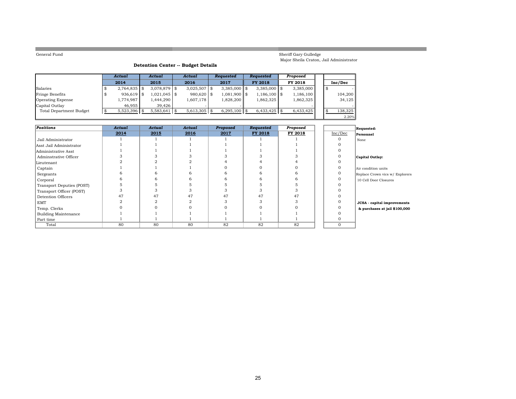**College** 

#### Sheriff Gary Gulledge Major Sheila Craton, Jail Administrator

2.20%

### **Detention Center -- Budget Details**

|                                | Actual         | Actual          | Actual         | <b>Requested</b> | Requested      | Proposed  |  |         |
|--------------------------------|----------------|-----------------|----------------|------------------|----------------|-----------|--|---------|
|                                | 2014           | 2015            | 2016           | 2017             | <b>FY 2018</b> | FY 2018   |  | Inc/Dec |
| Salaries                       | $2,764,835$ \$ | $3,078,879$ \$  | $3,025,507$ \$ | $3,385,000$ \\$  | $3,385,000$ \$ | 3,385,000 |  |         |
| Fringe Benefits                | $936,619$ \$   | $1,021,045$ \\$ | 980,620 \$     | $1,081,900$ \$   | $1,186,100$ \$ | 1,186,100 |  | 104,200 |
| <b>Operating Expense</b>       | 1,774,987      | 1,444,290       | 1,607,178      | 1,828,200        | 1,862,325      | 1,862,325 |  | 34,125  |
| Capital Outlay                 | 46.955         | 39.426          |                |                  |                |           |  |         |
| <b>Total Department Budget</b> | $5,523,396$ \$ | $5,583,641$ \$  | $5,613,305$ \$ | $6,295,100$ \$   | $6,433,425$ \$ | 6,433,425 |  | 138,325 |
|                                |                |                 |                |                  |                |           |  | 2.20%   |

| <b>Positions</b>            | Actual | Actual | Actual | Proposed | Requested | Proposed |          | Requested:                      |
|-----------------------------|--------|--------|--------|----------|-----------|----------|----------|---------------------------------|
|                             | 2014   | 2015   | 2016   | 2017     | FY 2018   | FY 2018  | Inc/Dec  | Personnel                       |
| Jail Administrator          |        |        |        |          |           |          | $\Omega$ | None                            |
| Asst Jail Administrator     |        |        |        |          |           |          |          |                                 |
| Administrative Asst         |        |        |        |          |           |          |          |                                 |
| Adminstrative Officer       |        |        |        |          |           |          | 0        | Capital Outlay:                 |
| Lieutenant                  |        |        |        |          |           |          | $\Omega$ |                                 |
| Captain                     |        |        |        |          |           |          | $\Omega$ | Air condition units             |
| Sergeants                   |        |        |        |          |           |          | $\Omega$ | Replace Crown vics w/ Explorers |
| Corporal                    |        |        |        |          |           |          |          | 10 Cell Door Closures           |
| Transport Deputies (POST)   |        |        |        |          |           |          |          |                                 |
| Transport Officer (POST)    |        |        |        |          |           |          |          |                                 |
| Detention Officers          | 47     | 47     | 47     | 47       | 47        | 47       |          |                                 |
| <b>EMT</b>                  |        |        |        |          |           |          | $\Omega$ | JCSA - capital improvements     |
| Temp. Clerks                |        |        |        |          |           |          |          | & purchases at jail \$100,000   |
| <b>Building Maintenance</b> |        |        |        |          |           |          | $\Omega$ |                                 |
| Part time                   |        |        |        |          |           |          |          |                                 |
| Total                       | 80     | 80     | 80     | 82       | 82        | 82       | $\Omega$ |                                 |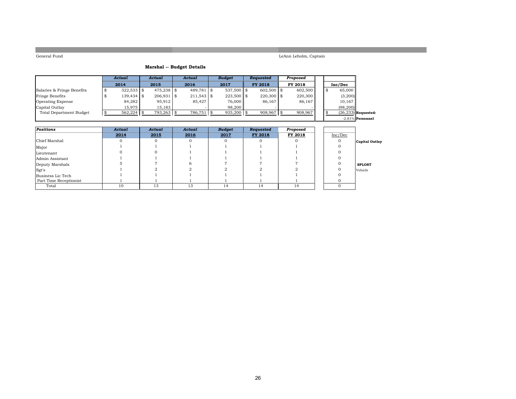LeAnn Leholm, Captain

### **Marshal -- Budget Details**

|                                | Actual        | Actual        | Actual       | <b>Budget</b> | Requested      | Proposed |   |                       |
|--------------------------------|---------------|---------------|--------------|---------------|----------------|----------|---|-----------------------|
|                                | 2014          | 2015          | 2016         | 2017          | <b>FY 2018</b> | FY 2018  |   | Inc/Dec               |
| Salaries & Fringe Benefits     | $322,533$ \$  | $475.238$ \\$ | $489.781$ \$ | $537,500$ \$  | 602.500 \$     | 602.500  | Æ | 65,000                |
| Fringe Benefits                | $139.434$ \\$ | $206,931$ \$  | $211,543$ \$ | $223,500$ \$  | $220.300$ \\$  | 220,300  |   | (3,200)               |
| <b>Operating Expense</b>       | 84,282        | 95,912        | 85.427       | 76,000        | 86,167         | 86,167   |   | 10,167                |
| Capital Outlay                 | 15.975        | 15.183        |              | 98,200        |                |          |   | (98, 200)             |
| <b>Total Department Budget</b> | $562,224$ \$  | $793,263$ \$  | 786,751 \$   | $935,200$ \$  | 908,967        | 908,967  |   | $(26,233)$ Requested: |
|                                |               |               |              |               |                |          |   | $-2.81\%$ Personnel   |

| Positions              | Actual | Actual | Actual | <b>Budget</b> | Requested | Proposed |         |                |
|------------------------|--------|--------|--------|---------------|-----------|----------|---------|----------------|
|                        | 2014   | 2015   | 2016   | 2017          | FY 2018   | FY 2018  | Inc/Dec |                |
| Chief Marshal          |        |        |        |               |           |          |         | Capital Outlay |
| Major                  |        |        |        |               |           |          |         |                |
| Lieutenant             |        |        |        |               |           |          |         |                |
| Admin Assistant        |        |        |        |               |           |          |         |                |
| Deputy Marshals        |        |        |        |               |           |          |         | <b>SPLOST</b>  |
| Sgt's                  |        |        |        |               |           |          |         | <b>Vehicle</b> |
| Business Lic Tech      |        |        |        |               |           |          |         |                |
| Part Time Receptionist |        |        |        |               |           |          |         |                |
| Total                  | 10     | 13     | 13     | 14            | 14        | 14       |         |                |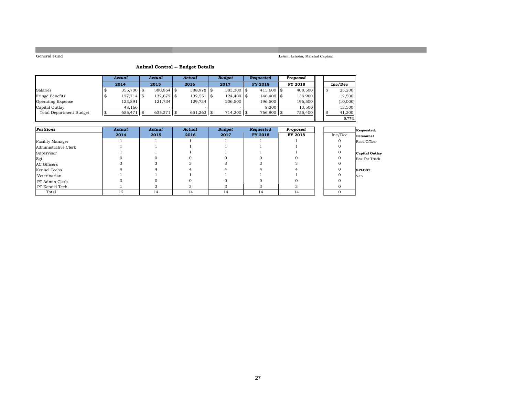LeAnn Leholm, Marshal Captain

### **Animal Control -- Budget Details**

|                         | Actual       |  | Actual        |  | Actual       |  | <b>Budget</b> | Requested      | Proposed |  |          |
|-------------------------|--------------|--|---------------|--|--------------|--|---------------|----------------|----------|--|----------|
|                         | 2014         |  | 2015          |  | 2016         |  | 2017          | <b>FY 2018</b> | FY 2018  |  | Inc/Dec  |
| Salaries                | $355.700$ \$ |  | $380,864$ \$  |  | 388,978 \$   |  | 383,300 \$    | $415,600$ \$   | 408,500  |  | 25,200   |
| Fringe Benefits         | $127,714$ \$ |  | 132,672 \$    |  | $132,551$ \$ |  | $124,400$ \$  | 146,400 \$     | 136,900  |  | 12,500   |
| Operating Expense       | 123,891      |  | 121,734       |  | 129.734      |  | 206,500       | 196,500        | 196,500  |  | (10,000) |
| Capital Outlay          | 48.166       |  |               |  |              |  |               | 8,300          | 13,500   |  | 13,500   |
| Total Department Budget | 655,471      |  | $635,271$ \\$ |  | $651,263$ \$ |  | 714,200 \$    | 766,800        | 755,400  |  | 41,200   |
|                         |              |  |               |  |              |  |               |                |          |  | 5.77%    |

| <b>Positions</b>     | Actual | Actual | Actual | <b>Budget</b> | Requested | Proposed |          | Requested:     |
|----------------------|--------|--------|--------|---------------|-----------|----------|----------|----------------|
|                      | 2014   | 2015   | 2016   | 2017          | FY 2018   | FY 2018  | Inc/Dec  | Personnel      |
| Facility Manager     |        |        |        |               |           |          |          | Road Officer   |
| Administrative Clerk |        |        |        |               |           |          |          |                |
| Supervisor           |        |        |        |               |           |          |          | Capital Outlay |
| Sgt.                 |        |        |        |               |           |          |          | Box For Truck  |
| AC Officers          |        |        |        |               |           |          |          |                |
| Kennel Techs         |        |        |        |               |           |          |          | <b>SPLOST</b>  |
| Veterinarian         |        |        |        |               |           |          |          | Van            |
| PT Admin Clerk       |        |        |        |               |           |          |          |                |
| PT Kennel Tech       |        |        |        |               |           |          |          |                |
| Total                | 12     | 14     | 14     | 14            | 14        | 14       | $\Omega$ |                |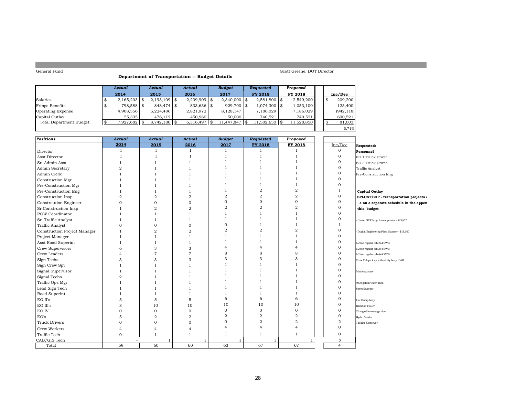#### **Department of Transportation -- Budget Details**

Scott Greene, DOT Director

|                                | Actual |                |     | Actual          |  | Actual       |     | <b>Budget</b>    | Requested       | Proposed   |     |            |
|--------------------------------|--------|----------------|-----|-----------------|--|--------------|-----|------------------|-----------------|------------|-----|------------|
|                                |        | 2014           |     | 2015            |  | 2016         |     | 2017             | <b>FY 2018</b>  | FY 2018    |     | Inc/Dec    |
| Salaries                       |        | $2,165,203$ \$ |     | $2.193.109$ \\$ |  | 2.209.909    | 1 S | $2.340.000$ \ \$ | $2.581.800$ \\$ | 2,549,200  | \$. | 209,200    |
| Fringe Benefits                |        | 798.588 \$     |     | $848.474$ \$    |  | $833,636$ \$ |     | $929,700$ \$     | 1,074,300 \$    | 1,053,100  |     | 123,400    |
| <b>Operating Expense</b>       |        | 4,908,556      |     | 5.224.486       |  | 2.821.972    |     | 8,128,147        | 7,186,029       | 7,186,029  |     | (942, 118) |
| Capital Outlay                 |        | 55.335         |     | 476.112         |  | 450.980      |     | 50,000           | 740.521         | 740.521    |     | 690.521    |
| <b>Total Department Budget</b> |        | 7,927,682      | . S | $8,742,180$ \$  |  | 6,316,497    |     | 11,447,847       | 1,582,650 \$    | 11,528,850 |     | 81,003     |
|                                |        |                |     |                 |  |              |     |                  |                 |            |     | 0.71%      |

| Positions                    | Actual | Actual         | Actual         | <b>Budget</b>  | Requested      | Proposed              |                |                                              |
|------------------------------|--------|----------------|----------------|----------------|----------------|-----------------------|----------------|----------------------------------------------|
|                              | 2014   | 2015           | 2016           | 2017           | FY 2018        | FY 2018               | Inc/Dec        | Requested:                                   |
| Director                     |        |                | $\overline{1}$ |                |                |                       | $\mathbf{O}$   | Personnel                                    |
| Asst Director                |        |                |                |                |                |                       | 0              | EO 1 Truck Driver                            |
| Sr. Admin Asst               |        |                |                |                |                |                       | 0              | EO 3 Truck Driver                            |
| Admin Secretary              |        |                |                |                |                |                       | $\mathbf{O}$   | Traffic Analyst                              |
| Admin Clerk                  |        |                |                |                |                |                       | 0              | Pre-Construction Eng                         |
| Construction Mgr             |        |                |                |                |                |                       | $\mathbf{O}$   |                                              |
| Pre-Construction Mgr         |        |                |                |                |                |                       | $\Omega$       |                                              |
| Pre-Construction Eng         |        |                |                |                | $\overline{a}$ | $\overline{2}$        |                | <b>Capital Outlay</b>                        |
| Construction Insp            |        | $\overline{2}$ | $\overline{2}$ | $\overline{2}$ | $\overline{2}$ | $\overline{2}$        | $\Omega$       | SPLOST/CIP - transportation projects a       |
| Constrcution Engineer        |        | $\mathbf{0}$   | $\Omega$       |                | $\mathbf{O}$   | $\Omega$              | $\overline{0}$ | a on a separate schedule in the appen        |
| Sr.Construction Insp         |        | $\mathbf{2}$   | $\overline{2}$ |                | $\overline{2}$ | $\overline{2}$        | $\mathbf{O}$   | this budget                                  |
| ROW Coordinator              |        |                |                |                |                |                       | 0              |                                              |
| Sr. Traffic Analyst          |        |                |                |                |                |                       | 0              | Canon OCE large format printer - \$23,657    |
| <b>Traffic Analyst</b>       |        | $\Omega$       | $\Omega$       |                |                |                       |                |                                              |
| Construction Project Manager |        | $\overline{2}$ | $\mathfrak{D}$ |                | $\overline{2}$ | $\overline{2}$        | 0              | Digital Engineering Plans Scanner - \$18,000 |
| Project Manager              |        |                |                |                |                |                       | 0              |                                              |
| Asst Road Superint           |        |                |                |                |                |                       | 0              | 1/2 ton regular cab 2x4 SWB                  |
| Crew Supervisors             |        | 3              | 3              |                | 4              |                       | 0              | 1/2 ton regular cab 2x4 SWB                  |
| Crew Leaders                 |        | 7              | 7              |                | 8              | 8                     | 0              | 1/2 ton regular cab 4x4 SWB                  |
| Sign Techs                   |        | 3              | 3              |                | 3              |                       | 0              | Crew Cab pick up with utility body LWB       |
| Sign Crew Spv                |        |                |                |                |                |                       | 0              |                                              |
| Signal Supervisor            |        |                |                |                |                |                       | 0              | Mini excavator                               |
| Signal Techs                 |        |                |                |                |                |                       | O              |                                              |
| Traffic Ops Mgr              |        |                |                |                |                |                       | $\Omega$       | 4000 gallon water truck                      |
| Lead Sign Tech               |        |                |                |                |                |                       | $\Omega$       | Street Sweeper                               |
| Road Superint                |        |                |                |                |                |                       | $\Omega$       |                                              |
| EO II's                      |        | 5              | 5              | 6              | 6              | 6                     | $\Omega$       | Flat Dump body                               |
| EO III's                     |        | 10             | 10             | 10             | 10             | 10                    | $\Omega$       | <b>Backhoe Trailer</b>                       |
| EO IV                        |        | $\mathbf{O}$   | $\mathbf{O}$   | $\mathbf{0}$   | $\mathbf{O}$   | $\mathbf{O}$          | 0              | Changeable message sign                      |
| EO's                         |        | $\overline{2}$ | $\overline{2}$ | $\overline{2}$ | $\overline{2}$ | $\overline{2}$        | $\Omega$       | Hydro Seeder                                 |
| <b>Truck Drivers</b>         |        | $\Omega$       | $\Omega$       | $\Omega$       | $\overline{a}$ | $\overline{2}$        | $\overline{2}$ | Tailgate Conveyor                            |
| Crew Workers                 |        | 4              |                |                | 4              | $\boldsymbol{\Delta}$ | $\mathbf{O}$   |                                              |
| Traffic Tech                 |        |                | $\mathbf{1}$   |                | 1              |                       | $\Omega$       |                                              |
| CAD/GIS Tech                 |        |                | ı              |                |                |                       | $\mathbf{0}$   |                                              |
| Total                        | 59     | 60             | 60             | 63             | 67             | 67                    | $\overline{4}$ |                                              |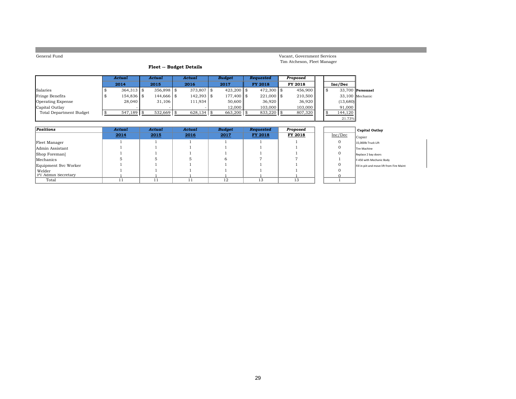Vacant, Government Services Tim Atcheson, Fleet Manager

### **Fleet -- Budget Details**

|                          | Actual       | Actual       |  | Actual        |  | <b>Budget</b> |  | <b>Requested</b> | Proposed |    |                   |  |
|--------------------------|--------------|--------------|--|---------------|--|---------------|--|------------------|----------|----|-------------------|--|
|                          | 2014         | 2015         |  | 2016          |  | 2017          |  | <b>FY 2018</b>   | FY 2018  |    | Inc/Dec           |  |
| Salaries                 | $364,313$ \$ | $356,898$ \$ |  | $373,807$ \$  |  | $423.200$ \\$ |  | $472.300$ \$     | 456,900  | \$ | 33,700 Personnel  |  |
| Fringe Benefits          | 154,836 \$   | 144,666 \$   |  | $142,393$ \$  |  | 177,400 \$    |  | $221,000$ \$     | 210,500  |    | $33.100$ Mechanic |  |
| <b>Operating Expense</b> | 28,040       | 31,106       |  | 111,934       |  | 50,600        |  | 36.920           | 36,920   |    | (13,680)          |  |
| Capital Outlay           |              |              |  |               |  | 12,000        |  | 103,000          | 103,000  |    | 91,000            |  |
| Total Department Budget  | $547,189$ \$ | $532,669$ \$ |  | $628,134$ \\$ |  | $663,200$ \$  |  | $833,220$ \$     | 807,320  |    | 144,120           |  |
|                          |              |              |  |               |  |               |  |                  |          |    | 21.73%            |  |

| Positions            | Actual | Actual | Actual | <b>Budget</b> | Requested      | Proposed |         | Capital Outlay                             |
|----------------------|--------|--------|--------|---------------|----------------|----------|---------|--------------------------------------------|
|                      | 2014   | 2015   | 2016   | 2017          | <b>FY 2018</b> | FY 2018  | Inc/Dec | Copier                                     |
| Fleet Manager        |        |        |        |               |                |          |         | 15.000lb Truck Lift                        |
| Admin Assistant      |        |        |        |               |                |          |         | Tire Machine                               |
| Shop Foreman         |        |        |        |               |                |          |         | Replace 2 bay doors                        |
| Mechanics            |        |        |        |               |                |          |         | F-450 with Mechanic Body                   |
| Equipment Svc Worker |        |        |        |               |                |          |         | Fill in piit and move lift from Fire Maint |
| Welder               |        |        |        |               |                |          |         |                                            |
| PT Admin Secretary   |        |        |        |               |                |          |         |                                            |
| Total                |        |        | $\pm$  | 12            | 13             |          |         |                                            |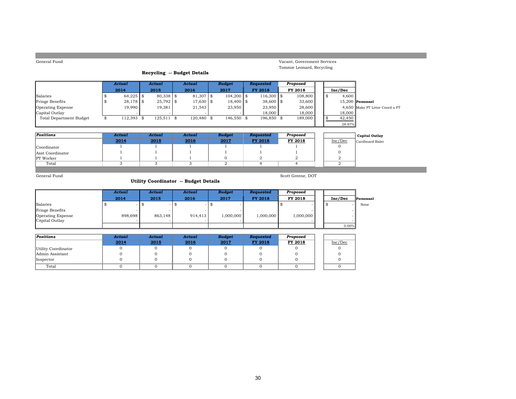| General Fund                          |    |               |               |               |  |                             |  |                |  |                  |  |                             |                |                                 |
|---------------------------------------|----|---------------|---------------|---------------|--|-----------------------------|--|----------------|--|------------------|--|-----------------------------|----------------|---------------------------------|
|                                       |    |               |               |               |  |                             |  |                |  |                  |  | Vacant, Government Services |                |                                 |
|                                       |    |               |               |               |  | Recycling -- Budget Details |  |                |  |                  |  | Tommie Leonard, Recycling   |                |                                 |
|                                       |    |               |               |               |  |                             |  |                |  |                  |  |                             |                |                                 |
|                                       |    | <b>Actual</b> |               | <b>Actual</b> |  | <b>Actual</b>               |  | <b>Budget</b>  |  | <b>Requested</b> |  | Proposed                    |                |                                 |
|                                       |    | 2014          |               | 2015          |  | 2016                        |  | 2017           |  | <b>FY 2018</b>   |  | FY 2018                     | Inc/Dec        |                                 |
| Salaries                              | \$ | 64,225        | $\frac{1}{2}$ | 80,338 \$     |  | 81,307 \$                   |  | $104,200$ \$   |  | $116,300$ \$     |  | 108,800                     | \$<br>4,600    |                                 |
| Fringe Benefits                       | \$ | 28,178        | <b>\$</b>     | $25,792$ \$   |  | 17,630 \$                   |  | $18,400$ \$    |  | $38,600$ \$      |  | 33,600                      |                | $15,200$ Personnel              |
| Operating Expense                     |    | 19,990        |               | 19,381        |  | 21,543                      |  | 23,950         |  | 23,950           |  | 28,600                      |                | 4,650 Make PT Litter Coord a FT |
| Capital Outlay                        |    |               |               |               |  |                             |  |                |  | 18,000           |  | 18,000                      | 18,000         |                                 |
| <b>Total Department Budget</b>        | \$ | 112,393 \$    |               | $125,511$ \$  |  | 120,480 \$                  |  | 146,550 \$     |  | 196,850 \$       |  | 189,000                     | \$<br>42,450   |                                 |
|                                       |    |               |               |               |  |                             |  |                |  |                  |  |                             | 28.97%         |                                 |
| <b>Positions</b>                      |    | <b>Actual</b> |               | <b>Actual</b> |  | <b>Actual</b>               |  | <b>Budget</b>  |  | <b>Requested</b> |  | Proposed                    |                |                                 |
|                                       |    | 2014          |               | 2015          |  | 2016                        |  | 2017           |  | FY 2018          |  | FY 2018                     | Inc/Dec        | <b>Capital Outlay</b>           |
|                                       |    |               |               |               |  |                             |  |                |  |                  |  |                             | $\Omega$       | Cardboard Baler                 |
| Coordinator                           |    |               |               |               |  |                             |  |                |  |                  |  |                             | $\mathbf{0}$   |                                 |
| Asst Coordinator                      |    |               |               |               |  |                             |  | $\mathbf{0}$   |  | $\overline{2}$   |  | $\overline{2}$              | $\overline{2}$ |                                 |
| PT Worker<br>Total                    |    | 3             |               | 3             |  | 3                           |  | $\overline{2}$ |  | $\overline{4}$   |  | $\overline{4}$              | $\overline{2}$ |                                 |
|                                       |    |               |               |               |  |                             |  |                |  |                  |  |                             |                |                                 |
| General Fund                          |    |               |               |               |  |                             |  |                |  |                  |  | Scott Greene, DOT           |                |                                 |
| Utility Coordinator -- Budget Details |    |               |               |               |  |                             |  |                |  |                  |  |                             |                |                                 |
|                                       |    |               |               |               |  |                             |  |                |  |                  |  |                             |                |                                 |
|                                       |    | <b>Actual</b> |               | <b>Actual</b> |  | <b>Actual</b>               |  | <b>Budget</b>  |  | <b>Requested</b> |  | Proposed                    |                |                                 |
|                                       |    | 2014          |               | 2015          |  | 2016                        |  | 2017           |  | <b>FY 2018</b>   |  | FY 2018                     | Inc/Dec        | Personnel                       |
| .                                     |    |               |               |               |  |                             |  |                |  |                  |  |                             |                |                                 |

|                                            | 2014    | 2015    | 2016    | 2017      | FY 2018 | <b>FY 2018</b> | Inc/Dec | <b>Person:</b> |
|--------------------------------------------|---------|---------|---------|-----------|---------|----------------|---------|----------------|
| Salaries                                   |         |         |         |           |         |                |         | None           |
| Fringe Benefits                            |         |         |         |           |         |                |         |                |
| <b>Operating Expense</b><br>Capital Outlay | 898.698 | 863.148 | 914.413 | 1.000.000 | 000,000 | 1,000,000      |         |                |
|                                            |         |         |         |           |         |                | 0.00%   |                |

| Positions           | Actual | Actual | Actual | <b>Budget</b> | Requested      | Proposed |         |
|---------------------|--------|--------|--------|---------------|----------------|----------|---------|
|                     | 2014   | 2015   | 2016   | 2017          | <b>FY 2018</b> | FY 2018  | Inc/Dec |
| Utility Coordinator |        |        |        |               |                |          |         |
| Admin Assistant     |        |        |        |               |                |          |         |
| Inspector           |        |        |        |               |                |          |         |
| Total               |        |        |        |               |                |          |         |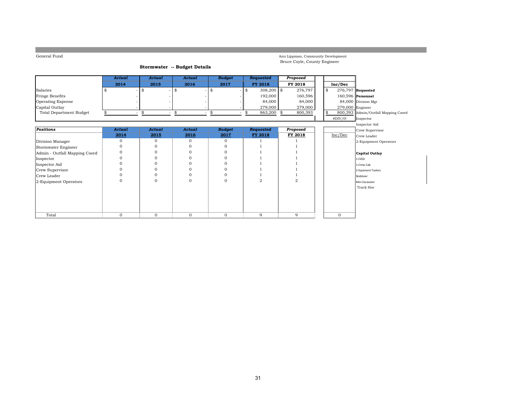Ann Lippman, Community Development Bruce Coyle, County Engineer

#### **Stormwater -- Budget Details**

|                         | Actual | Actual                        | Actual | <b>Budget</b> | Requested      | Proposed |         |                     |
|-------------------------|--------|-------------------------------|--------|---------------|----------------|----------|---------|---------------------|
|                         | 2014   | 2015                          | 2016   | 2017          | <b>FY 2018</b> | FY 2018  | Inc/Dec |                     |
| Salaries                |        | ۰                             |        | - 13          | $308.200$ \$   | 276.797  |         | $276,797$ Requested |
| Fringe Benefits         |        |                               |        |               | 192,000        | 160.596  |         | $160.596$ Personnel |
| Operating Expense       |        |                               |        |               | 84,000         | 84,000   |         | 84,000 Division Mgr |
| Capital Outlay          |        |                               |        |               | 279,000        | 279,000  |         | $279,000$ Engineer  |
| Total Department Budget |        | ۰<br>$\overline{\phantom{a}}$ | -      |               | 863,200 \$     | 800,393  |         | 800,393 Admin/Outf  |
|                         |        |                               |        |               |                |          | #DIV/0! | Inspector           |

|                               |              |          |          |               |           |          |          | mspector Alt        |
|-------------------------------|--------------|----------|----------|---------------|-----------|----------|----------|---------------------|
| <b>Positions</b>              | Actual       | Actual   | Actual   | <b>Budget</b> | Requested | Proposed |          | Crew Supervisor     |
|                               | 2014         | 2015     | 2016     | 2017          | FY 2018   | FY 2018  | Inc/Dec  | Crew Leader         |
| Division Manager              | $\mathbf{0}$ | $\Omega$ | $\Omega$ |               |           |          |          | 2-Equipment Op      |
| Stormwater Engineer           | 0            |          |          |               |           |          |          |                     |
| Admin - Outfall Mapping Coord | $\Omega$     |          | $\Omega$ |               |           |          |          | Capital Outlay      |
| Inspector                     | $\Omega$     |          |          |               |           |          |          | 1-F450              |
| Inspector Aid                 |              |          |          |               |           |          |          | 1-Crew Cab          |
| Crew Supervisor               | $\Omega$     |          | $\Omega$ |               |           |          |          | 2-Equiment Trailers |
| Crew Leader                   |              |          |          |               |           |          |          | Skidsteer           |
| 2-Equipment Operators         | $\Omega$     |          | $\Omega$ |               |           | 2        |          | Mini Excavator      |
|                               |              |          |          |               |           |          |          | Track Hoe           |
|                               |              |          |          |               |           |          |          |                     |
|                               |              |          |          |               |           |          |          |                     |
|                               |              |          |          |               |           |          |          |                     |
| Total                         | $\Omega$     | $\Omega$ | $\Omega$ | $\Omega$      | 9         | 9        | $\Omega$ |                     |

-<br>nin/Outfall Mapping Coord

Inspector Aid Crew Leader  $2$ -Equipment Operators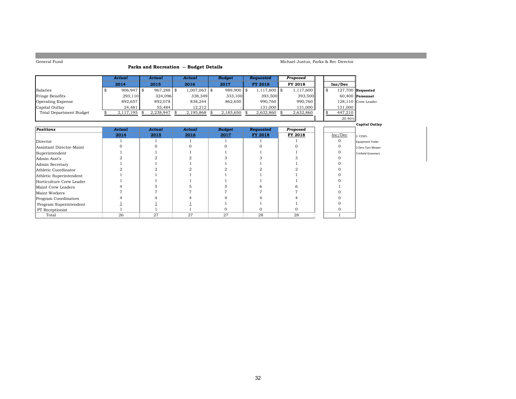### **Parks and Recreation -- Budget Details**

#### Michael Justus, Parks & Rec Director

 $\blacksquare$ 

20.46%

|                          | Actual       | Actual        | Actual       | Budget     | <b>Requested</b> | Proposed  |         |                     |
|--------------------------|--------------|---------------|--------------|------------|------------------|-----------|---------|---------------------|
|                          | 2014         | 2015          | 2016         | 2017       | <b>FY 2018</b>   | FY 2018   | Inc/Dec |                     |
| Salaries                 | 906.947 \$   | $967,288$ \\$ | 1,007,063 \$ | 989.900 \$ | $1,117,600$   \$ | 1.117.600 |         | $127,700$ Requested |
| Fringe Benefits          | 293,110      | 324.096       | 338,349      | 333,100    | 393.500          | 393,500   |         | $60.400$ Personnel  |
| <b>Operating Expense</b> | 892.657      | 892.078       | 838.244      | 862.650    | 990.760          | 990.760   |         | 128.110 Crew Leader |
| Capital Outlay           | 24.481       | 55.484        | 12.212       |            | 131,000          | 131,000   | 131,000 |                     |
| Total Department Budget  | 2,117,195 \$ | 2.238.947     | 2,195,868 \$ | 2,185,650  | 2,632,860        | 2,632,860 | 447,210 |                     |

|                          |        |               |        |               |           |          | ZU. TU / 0 |                       |
|--------------------------|--------|---------------|--------|---------------|-----------|----------|------------|-----------------------|
|                          |        |               |        |               |           |          |            | <b>Capital Outlay</b> |
| <b>Positions</b>         | Actual | <b>Actual</b> | Actual | <b>Budget</b> | Requested | Proposed |            |                       |
|                          | 2014   | 2015          | 2016   | 2017          | FY 2018   | FY 2018  | Inc/Dec    | 2-F250's              |
| Director                 |        |               |        |               |           |          |            | Equipment Trailer     |
| Assistant Director-Maint |        |               |        |               |           |          |            | 2-Zero Turn Mower     |
| Superintendent           |        |               |        |               |           |          |            | 3-Infield Groomers    |
| Admin Asst's             |        |               |        |               |           |          |            |                       |
| Admin Secretary          |        |               |        |               |           |          |            |                       |
| Athletic Coordinator     |        |               |        |               |           |          |            |                       |
| Athletic Superintendent  |        |               |        |               |           |          |            |                       |
| Horticulture Crew Leader |        |               |        |               |           |          |            |                       |
| Maint Crew Leaders       |        |               |        |               |           |          |            |                       |
| Maint Workers            |        |               |        |               |           |          |            |                       |
| Program Coordinators     |        |               |        |               |           |          |            |                       |
| Program Superintendent   |        |               |        |               |           |          |            |                       |
| PT Receptionist          |        |               |        |               |           |          |            |                       |
| Total                    | 26     | 27            | 27     | 27            | 28        | 28       |            |                       |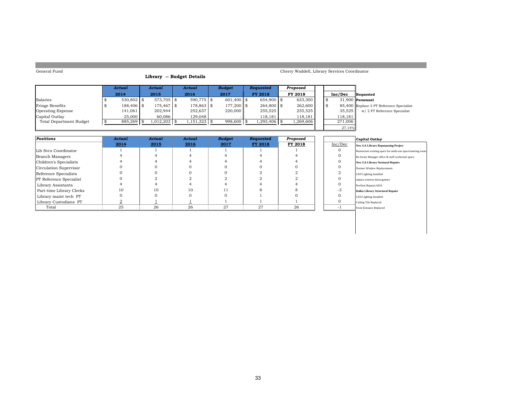## **Library -- Budget Details**

#### Cherry Waddell, Library Services Coordinator

|                         | Actual        | Actual     |                | Actual       |  | <b>Budget</b> | <b>Requested</b> | Proposed |  |         |                                          |
|-------------------------|---------------|------------|----------------|--------------|--|---------------|------------------|----------|--|---------|------------------------------------------|
|                         | 2014          | 2015       |                | 2016         |  | 2017          | <b>FY 2018</b>   | FY 2018  |  | Inc/Dec | Requested                                |
| Salaries                | $530.802$ \\$ | 573.705 \$ |                | $590.775$ \$ |  | 601.400 \$    | $654.900$ \$     | 633,300  |  |         | $31.900$ Personnel                       |
| <b>Fringe Benefits</b>  | 188,406 \$    | 175,467 \$ |                | 178,863 \$   |  | 177.200 \$    | $264.800$ \$     | 262,600  |  |         | 85,400 Replace 3 PT Refernece Specialist |
| Operating Expense       | 141,061       | 202,944    |                | 252.637      |  | 220,000       | 255,525          | 255,525  |  | 35.525  | w/ 2 FT Reference Specialist             |
| Capital Outlay          | 25,000        | 60.086     |                | 129.048      |  |               | 118.181          | 118,181  |  | 118,181 |                                          |
| Total Department Budget | 885,269 \$    | 1,012,203  | $1,151,323$ \$ |              |  | 998,600 \$    | $.293,406$ \$    | ,269,606 |  | 271.006 |                                          |
|                         |               |            |                |              |  |               |                  |          |  | 27.14%  |                                          |

| Positions                      | Actual | Actual | Actual | <b>Budget</b> | Requested | Proposed |           | Capital Outlay                                              |
|--------------------------------|--------|--------|--------|---------------|-----------|----------|-----------|-------------------------------------------------------------|
|                                | 2014   | 2015   | 2016   | 2017          | FY 2018   | FY 2018  | Inc/Dec   | New GA Library Repurposing Project                          |
| Lib Svcs Coordinator           |        |        |        |               |           |          | 0         | Restructure existing space for multi-use space/meeting room |
| Branch Managers                |        |        |        |               |           |          | $\Omega$  | Re-locate Manager office & staff workroom space             |
| Children's Specialists         |        |        |        |               |           |          |           | <b>New GA Library Strutural Repairs</b>                     |
| Circulation Supervisor         |        |        |        |               |           |          |           | Dormer Window Replacements                                  |
| Reference Specialists          |        |        |        |               |           |          |           | LED Lighting Installed                                      |
| <b>PT</b> Reference Specialist |        |        |        |               |           |          | 0         | replace exterior doors/gutters                              |
| Library Assistants             |        |        |        |               |           |          | 0         | Pavilion Repairs/ADA                                        |
| Part-time Library Clerks       | 10     | 10     | 10     | 11            |           |          | -3        | Dallas Library Structural Repairs                           |
| Library maint tech PT          |        |        |        |               |           |          |           | LED Lighting Installed                                      |
| Library Custodians PT          |        |        |        |               |           |          |           | Ceiling Tile Replaced                                       |
| Total                          | 25     | 26     | 26     | 27            | 27        | 26       | $\,$ $\,$ | Front Entrance Replaced                                     |

33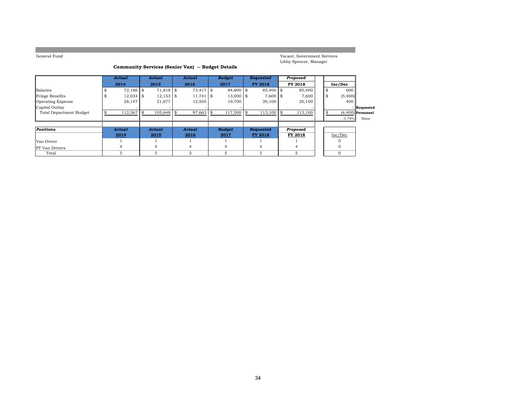Vacant, Government Services Libby Spencer, Manager

### **Community Services (Senior Van) -- Budget Details**

|                                | Actual      | Actual      | Actual            |      | <b>Budget</b> | Requested      |     | Proposed |    |          |                     |
|--------------------------------|-------------|-------------|-------------------|------|---------------|----------------|-----|----------|----|----------|---------------------|
|                                | 2014        | 2015        | 2016              |      | 2017          | <b>FY 2018</b> |     | FY 2018  |    | Inc/Dec  |                     |
| Salaries                       | $72,186$ \$ | 71,818      | \$<br>$73,417$ \$ |      | 84,800 \$     | 85,400 \$      |     | 85,400   | \$ | 600      |                     |
| <b>Fringe Benefits</b>         | $12,034$ \$ | $12,153$ \$ | 11,741            | l \$ | 13,000 \$     | $7,600$ \$     |     | 7,600    | \$ | (5,400)  |                     |
| <b>Operating Expense</b>       | 28,147      | 21,677      | 12,505            |      | 19,700        | 20,100         |     | 20,100   |    | 400      |                     |
| Capital Outlay                 |             |             |                   |      |               |                |     |          |    |          | Requested           |
| <b>Total Department Budget</b> | 112,367     | 105,648     | 97,663            |      | 117,500 \$    | 113,100        | -\$ | 113,100  | \$ |          | $(4.400)$ Personnel |
|                                |             |             |                   |      |               |                |     |          |    | $-3.74%$ | None                |
|                                |             |             |                   |      |               |                |     |          |    |          |                     |
| Positions                      | Actual      | Actual      | Actual            |      | <b>Budget</b> | Requested      |     | Proposed |    |          |                     |
|                                | 2014        | 2015        | 2016              |      | 2017          | <b>FY 2018</b> |     | FY 2018  |    | Inc/Dec  |                     |
| Van Driver                     |             |             |                   |      |               |                |     |          |    |          |                     |
| <b>PT</b> Van Drivers          | 4           | 4           | 4                 |      | 4             | 4              |     | 4        |    |          |                     |
| Total                          | 5.          | 5           | 5                 |      | 5             | 5              |     | 5        |    | $\Omega$ |                     |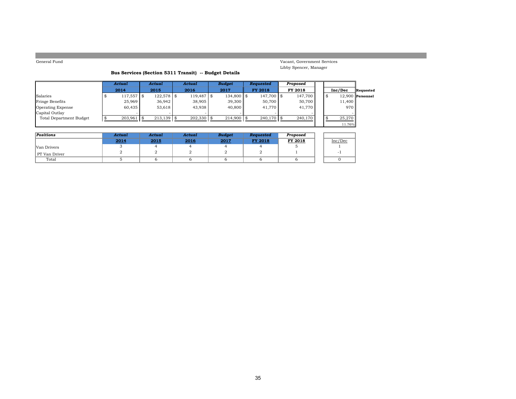Vacant, Government Services Libby Spencer, Manager

### **Bus Services (Section 5311 Transit) -- Budget Details**

|                                | Actual        | Actual       | Actual       | <b>Budget</b> | Requested      | Proposed |  |         |                    |
|--------------------------------|---------------|--------------|--------------|---------------|----------------|----------|--|---------|--------------------|
|                                | 2014          | 2015         | 2016         | 2017          | <b>FY 2018</b> | FY 2018  |  | Inc/Dec | Requested          |
| Salaries                       | $117,557$ \\$ | $122.578$ \$ | 119,487 \$   | 134,800 \$    | 147,700 \$     | 147.700  |  |         | $12.900$ Personnel |
| Fringe Benefits                | 25,969        | 36.942       | 38,905       | 39,300        | 50.700         | 50,700   |  | 11,400  |                    |
| <b>Operating Expense</b>       | 60,435        | 53.618       | 43.938       | 40,800        | 41.770         | 41.770   |  | 970     |                    |
| Capital Outlay                 |               |              |              |               |                |          |  |         |                    |
| <b>Total Department Budget</b> | 203,961       | $213.139$ \$ | $202,330$ \$ | $214,900$ \$  | $240,170$ \$   | 240,170  |  | 25,270  |                    |
|                                |               |              |              |               |                |          |  | 11.76%  |                    |

| Positions     | Actual | Actual | Actual | <b>Budget</b> | Requested      | Proposed |         |
|---------------|--------|--------|--------|---------------|----------------|----------|---------|
|               | 2014   | 2015   | 2016   | 2017          | <b>FY 2018</b> | FY 2018  | Inc/Dec |
| Van Drivers   |        |        |        |               |                |          |         |
| PT Van Driver |        |        |        |               |                |          |         |
| Total         |        |        |        |               |                |          |         |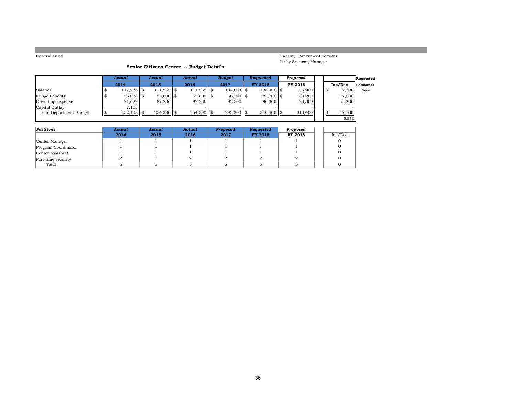Vacant, Government Services Libby Spencer, Manager

5.83%

### **Senior Citizens Center -- Budget Details**

|                         | Actual       | Actual        | Actual        | <b>Budget</b> | Reauested      | Proposed |  |         | Requested |
|-------------------------|--------------|---------------|---------------|---------------|----------------|----------|--|---------|-----------|
|                         | 2014         | 2015          | 2016          | 2017          | <b>FY 2018</b> | FY 2018  |  | Inc/Dec | Personnel |
| Salaries                | 117,286 \$   | 111,555 \$    | $111,555$ \\$ | $134,600$ \$  | 136,900 \$     | 136,900  |  | 2,300   | None      |
| Fringe Benefits         | 56,088 \$    | $55,600$ \$   | $55,600$ \$   | $66,200$ \$   | 83,200 \$      | 83,200   |  | 17,000  |           |
| Operating Expense       | 71,629       | 87,236        | 87.236        | 92,500        | 90,300         | 90,300   |  | (2,200) |           |
| Capital Outlay          | 7.105        |               |               |               |                |          |  |         |           |
| Total Department Budget | $252,108$ \$ | $254.390$ \\$ | 254,390 \$    | $293.300$ \$  | $310,400$ \$   | 310,400  |  | 17,100  |           |
|                         |              |               |               |               |                |          |  | 5.83%   |           |

| Positions           | Actual | Actual | Actual | Proposed | Requested      | Proposed |         |
|---------------------|--------|--------|--------|----------|----------------|----------|---------|
|                     | 2014   | 2015   | 2016   | 2017     | <b>FY 2018</b> | FY 2018  | Inc/Dec |
| Center Manager      |        |        |        |          |                |          |         |
| Program Coordinator |        |        |        |          |                |          |         |
| Center Assistant    |        |        |        |          |                |          |         |
| Part-time security  |        |        |        |          |                |          |         |
| Total               |        |        |        |          |                |          |         |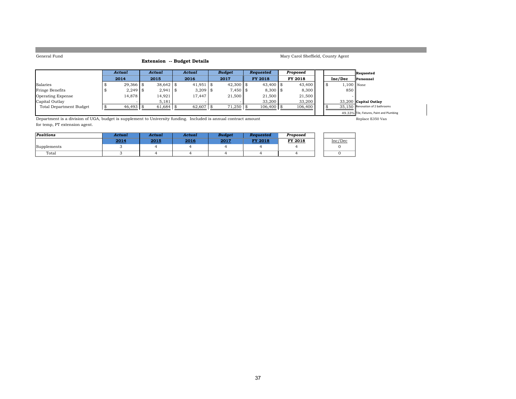### **Extension -- Budget Details**

|  | Mary Carol Sheffield, County Agent |  |
|--|------------------------------------|--|

|                          | Actual      | Actual      |  | Actual      | <b>Budget</b> | <b>Requested</b> | Proposed |         | Requested                                 |
|--------------------------|-------------|-------------|--|-------------|---------------|------------------|----------|---------|-------------------------------------------|
|                          | 2014        | 2015        |  | 2016        | 2017          | <b>FY 2018</b>   | FY 2018  | Inc/Dec | Personnel                                 |
| Salaries                 | 29,366 \$   | $38.642$ \$ |  | $41,951$ \$ | $42,300$ \$   | $43,400$ \$      | 43,400   |         | $1,100$ None                              |
| <b>Fringe Benefits</b>   | $2.249$ \\$ | $2,941$ \\$ |  | $3,209$ \$  | $7.450$ \ \$  | $8,300$ \ \$     | 8,300    | 850     |                                           |
| <b>Operating Expense</b> | 14.878      | 14,921      |  | 17.447      | 21,500        | 21.500           | 21,500   |         |                                           |
| Capital Outlay           |             | 5,181       |  |             |               | 33,200           | 33,200   |         | $33,200$ Capital Outlay                   |
| Total Department Budget  | $46,493$ \$ | 61,684      |  | 62,607 \$   | $71,250$ \$   | $106,400$ \$     | 106,400  |         | 35.150 Renovation of 2 bathrooms          |
|                          |             |             |  |             |               |                  |          |         | 49.33% Tile, Fixtures, Paint and Plumbing |

Department is a division of UGA, budget is supplement to University funding. Included is annual contract amount Replace E350 Van Replace E350 Van for temp, PT extension agent.

| Positions   | Actual | Actual | Actual | <b>Budget</b> | Reauested      | Proposed |         |
|-------------|--------|--------|--------|---------------|----------------|----------|---------|
|             | 2014   | 2015   | 2016   | 2017          | <b>FY 2018</b> | FY 2018  | Inc/Dec |
| Supplements |        |        |        |               |                |          |         |
| Total       |        |        |        |               |                |          |         |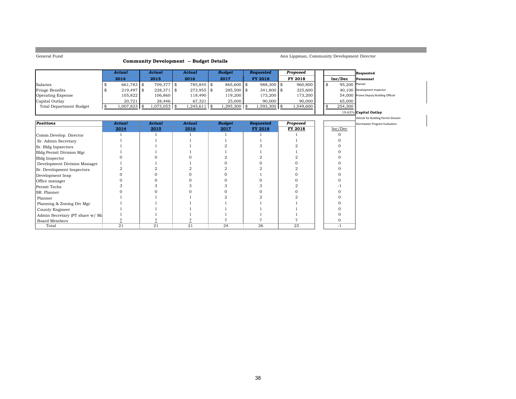Board Members

### **Community Development -- Budget Details**

Ann Lippman, Community Development Director

 $-1$ 

|                                 | Actual               | Actual         | Actual         | Budget         | Requested<br>Proposed |                  |           |    | Requested      |                                       |
|---------------------------------|----------------------|----------------|----------------|----------------|-----------------------|------------------|-----------|----|----------------|---------------------------------------|
|                                 | 2014                 | 2015           | 2016           | 2017           |                       | <b>FY 2018</b>   | FY 2018   |    | Inc/Dec        | Personnel                             |
| Salaries                        | 661,783 \$           | 709,377 \$     | 785,845 \$     | 865,600 \$     |                       | 988,300 \$       | 960,800   | \$ | 95,200 Planner |                                       |
| Fringe Benefits                 | $219,497$ \$         | 228,371 \$     | 273,955 \$     | 285,500 \$     |                       | 341,800 \$       | 325,600   |    |                | 40.100 Development Inspector          |
| <b>Operating Expense</b>        | 105,822              | 106,860        | 118,490        | 119,200        |                       | 173,200          | 173,200   |    |                | 54,000 Promo Deputy Building Official |
| Capital Outlay                  | 20,721               | 28,446         | 67,321         | 25,000         |                       | 90,000           | 90,000    |    | 65,000         |                                       |
| <b>Total Department Budget</b>  | \$<br>$1,007,823$ \$ | $1,073,053$ \$ | $1,245,611$ \$ | $1,295,300$ \$ |                       | 1,593,300 \$     | 1,549,600 | £. | 254,300        |                                       |
|                                 |                      |                |                |                |                       |                  |           |    |                | 19.63% Capital Outlay                 |
|                                 |                      |                |                |                |                       |                  |           |    |                | Vehicle for Building Permit Division  |
| <b>Positions</b>                | <b>Actual</b>        | <b>Actual</b>  | <b>Actual</b>  | <b>Budget</b>  |                       | <b>Requested</b> | Proposed  |    |                | Stormwater Program Evaluation         |
|                                 | 2014                 | 2015           | 2016           | 2017           |                       | FY 2018          | FY 2018   |    | Inc/Dec        |                                       |
| Comm.Develop. Director          |                      |                |                |                |                       |                  |           |    |                |                                       |
| Sr. Admin Secretary             |                      |                |                |                |                       |                  |           |    |                |                                       |
| Sr. Bldg Inpsectors             |                      |                |                |                |                       |                  |           |    |                |                                       |
| Bldg Permit Division Mgr        |                      |                |                |                |                       |                  |           |    |                |                                       |
| <b>Bldg Inspector</b>           |                      |                |                |                |                       |                  |           |    |                |                                       |
| Development Division Manager    |                      |                |                |                |                       |                  |           |    |                |                                       |
| Sr. Development Inspectors      |                      |                |                |                |                       |                  |           |    |                |                                       |
| Development Insp                |                      |                |                |                |                       |                  |           |    |                |                                       |
| Office manager                  |                      |                |                |                |                       |                  |           |    |                |                                       |
| Permit Techs                    |                      |                |                |                |                       |                  |           |    |                |                                       |
| SR. Planner                     |                      |                |                |                |                       |                  |           |    |                |                                       |
| Planner                         |                      |                |                |                |                       |                  |           |    |                |                                       |
| Planning & Zoning Div Mgr       |                      |                |                |                |                       |                  |           |    |                |                                       |
| County Engineer                 |                      |                |                |                |                       |                  |           |    |                |                                       |
| Admin Secretary (PT share w/ Ma |                      |                |                |                |                       |                  |           |    |                |                                       |

Admin Secretary (PT share w/ Ma  $\begin{array}{c|c|c|c|c|c|c|c|c} \hline \text{Admin} & 1 & 1 & 1 & 1 & 1 \text{array} \ \hline \text{Board Members} & \text{Z} & \text{Z} & \text{Z} & \text{Z} & \text{Z} & \text{Z} & \text{Z} & \text{Z} & \text{Z} & \text{Z} & \text{Z} & \text{Z} & \text{Z} & \text{Z} & \text{Z} & \text{Z} & \text{Z} & \text{Z} & \text{Z} & \text{Z} & \text{Z}$ 

Total 21 21 21 24 26 23 -1

s | <u>7</u> | <u>7</u> | <u>7</u> | 7 | 7 | 7 | 0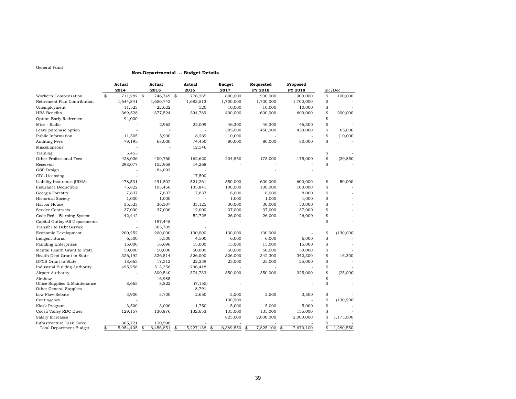#### **Non-Departmental -- Budget Details**

|                                     | Actual          |    | Actual     |    | Actual    | <b>Budget</b> |           | Requested       | Proposed        |    |           |
|-------------------------------------|-----------------|----|------------|----|-----------|---------------|-----------|-----------------|-----------------|----|-----------|
|                                     | 2014            |    | 2015       |    | 2016      | 2017          |           | FY 2018         | FY 2018         |    | Inc/Dec   |
| Worker's Compensation               | \$<br>711,282   | \$ | 746,749 \$ |    | 776,285   |               | 800,000   | 900,000         | 900,000         | \$ | 100,000   |
| Retirement Plan Contribution        | 1,644,841       |    | 1,650,742  |    | 1,683,513 |               | 1,700,000 | 1,700,000       | 1,700,000       | \$ |           |
| Unemployment                        | 11,523          |    | 22,622     |    | 520       |               | 10,000    | 10,000          | 10,000          | \$ |           |
| <b>HRA</b> Benefits                 | 369,528         |    | 377,524    |    | 394,789   |               | 400,000   | 600,000         | 600,000         | \$ | 200,000   |
| Optum Early Retirement              | 94,000          |    |            |    |           |               |           |                 |                 | \$ |           |
| Mtce - Radio                        |                 |    | 2,965      |    | 22,009    |               | 46,300    | 46,300          | 46,300          | \$ |           |
| Leave purchase option               |                 |    |            |    |           |               | 385,000   | 450,000         | 450,000         | \$ | 65,000    |
| Public Information                  | 11,505          |    | 5,900      |    | 8,269     |               | 10,000    |                 |                 | \$ | (10,000)  |
| <b>Auditing Fees</b>                | 79,195          |    | 68,000     |    | 74,450    |               | 80,000    | 80,000          | 80,000          | \$ |           |
| Miscellaneous                       |                 |    |            |    | 12,546    |               |           |                 |                 |    |           |
| Training                            | 5,453           |    |            |    |           |               |           |                 |                 | \$ |           |
| Other Professional Fees             | 428,036         |    | 400,760    |    | 162,620   |               | 204,850   | 175,000         | 175,000         | \$ | (29, 850) |
| Reservoir                           | 298,077         |    | 152,958    |    | 14,268    |               |           |                 |                 | \$ |           |
| GSP Design                          |                 |    | 84,092     |    |           |               |           |                 |                 |    |           |
| CDL Licensing                       |                 |    |            |    | 17,500    |               |           |                 |                 |    |           |
| Liability Insurance (IRMA)          | 478,531         |    | 491,802    |    | 521,261   |               | 550,000   | 600,000         | 600,000         | \$ | 50,000    |
| Insurance Deductible                | 75,822          |    | 103,456    |    | 135,841   |               | 100,000   | 100,000         | 100,000         | \$ |           |
| Georgia Forestry                    | 7,837           |    | 7,837      |    | 7,837     |               | 8,000     | 8,000           | 8,000           | \$ |           |
| <b>Historical Society</b>           | 1,000           |    | 1,000      |    |           |               | 1,000     | 1,000           | 1,000           | \$ |           |
| Harbor House                        | 35,523          |    | 36,307     |    | 33,125    |               | 30,000    | 30,000          | 30,000          | \$ |           |
| Service Contracts                   | 37,000          |    | 37,000     |    | 12,000    |               | 37,000    | 37,000          | 37,000          | \$ |           |
| Code Red - Warning System           | 42,442          |    |            |    | 52,728    |               | 26,000    | 26,000          | 26,000          | \$ |           |
| Capital Outlay-All Departments      |                 |    | 187,448    |    |           |               |           |                 |                 | \$ |           |
| Transfer to Debt Service            |                 |    | 365,789    |    |           |               |           |                 |                 |    |           |
| Economic Development                | 200,252         |    | 200,000    |    | 130,000   |               | 130,000   | 130,000         |                 | \$ | (130,000) |
| <b>Indigent Burial</b>              | 6,500           |    | 5,500      |    | 4,500     |               | 6,000     | 6,000           | 6,000           | \$ |           |
| <b>Paulding Enterprises</b>         | 15,000          |    | 16,696     |    | 15,000    |               | 15,000    | 15,000          | 15,000          | \$ |           |
| Mental Health Grant to State        | 50,000          |    | 50,000     |    | 50,000    |               | 50,000    | 50,000          | 50,000          | \$ |           |
| Health Dept Grant to State          | 326,192         |    | 326,514    |    | 326,000   |               | 326,000   | 342,300         | 342,300         | \$ | 16,300    |
| DFCS Grant to State                 | 18,665          |    | 17,312     |    | 22,239    |               | 25,000    | 25,000          | 25,000          | \$ |           |
| <b>Industrial Buildng Authority</b> | 495,258         |    | 513,358    |    | 236,418   |               |           |                 |                 | \$ |           |
| Airport Authority                   |                 |    | 300,540    |    | 374,733   |               | 350,000   | 350,000         | 325,000         | \$ | (25,000)  |
| Airshow                             |                 |    | 16,985     |    |           |               |           |                 |                 | \$ |           |
| Office Supplies & Maintenance       | 8,665           |    | 8,822      |    | (7, 155)  |               |           |                 |                 | \$ |           |
| Other General Supplies              |                 |    |            |    | 8,791     |               |           |                 |                 |    |           |
| Low Flow Rebate                     | 3,900           |    | 3,700      |    | 2,650     |               | 3,500     | 3,500           | 3,500           | \$ |           |
| Contingency                         |                 |    |            |    |           |               | 130,900   |                 |                 | \$ | (130,900) |
| Kiosk Program                       | 3,500           |    | 3,000      |    | 1,750     |               | 5,000     | 5,000           | 5,000           | \$ |           |
| Coosa Valley RDC Dues               | 129,157         |    | 130,876    |    | 132,653   |               | 135,000   | 135,000         | 135,000         | \$ |           |
| Salary Increases                    |                 |    |            |    |           |               | 825,000   | 2,000,000       | 2,000,000       | \$ | 1,175,000 |
| Infrastructure Task Force           | 365,721         |    | 120,598    |    |           |               |           |                 |                 | \$ |           |
| <b>Total Department Budget</b>      | \$<br>5,954,405 | \$ | 6,456,851  | \$ | 5,227,138 | \$            | 6,389,550 | \$<br>7,825,100 | \$<br>7,670,100 | \$ | 1,280,550 |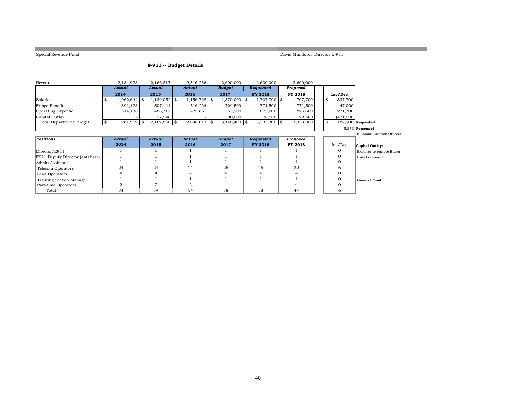**College** 

Special Revenue Fund David Mumford, Director E-911

and the control of the control of the control of the control of the

### **E-911 -- Budget Details**

| Revenues                        | 2,184,928 |           | 2,166,817      | 2,516,236      | 2,600,000      | 2,600,000      | 2,600,000 |                |                            |
|---------------------------------|-----------|-----------|----------------|----------------|----------------|----------------|-----------|----------------|----------------------------|
|                                 | Actual    |           | Actual         | Actual         | <b>Budget</b>  | Requested      | Proposed  |                |                            |
|                                 | 2014      |           | 2015           | 2016           | 2017           | FY 2018        | FY 2018   | Inc/Dec        |                            |
| Salaries                        |           | 8 800.062 | $1,139,052$ \$ | $1,156,728$ \$ | 1,370,000 \$   | 1,707,700 \$   | 1,707,700 | 337,700<br>-86 |                            |
| <b>Fringe Benefits</b>          |           | 391,128   | 507,141        | 516,224        | 724,500        | 771,500        | 771,500   | 47,000         |                            |
| <b>Operating Expense</b>        |           | 514,138   | 488,717        | 425,661        | 553,900        | 825,600        | 825,600   | 271,700        |                            |
| Capital Outlay                  |           |           | 27,948         |                | 500,000        | 28,500         | 28,500    | (471,500)      |                            |
| <b>Total Department Budget</b>  | -SS       | 1,967,909 | $2,162,858$ \$ | $2,098,613$ \$ | $3,148,400$ \$ | $3,333,300$ \$ | 3,333,300 | -\$            | 184,900 Requested:         |
|                                 |           |           |                |                |                |                |           |                | 5.87% Personnel            |
|                                 |           |           |                |                |                |                |           |                | 6 Communication Officers   |
| Positions                       | Actual    |           | Actual         | Actual         | <b>Budget</b>  | Requested      | Proposed  |                |                            |
|                                 | 2014      |           | 2015           | 2016           | 2017           | FY 2018        | FY 2018   | Inc/Dec        | Capital Outlay:            |
| Director/E911                   |           |           |                |                |                |                |           |                | Explorer to replace Blazer |
| E911 Deputy Director (database) |           |           |                |                |                |                |           |                | CAD Equipment              |
| Admin Assistant                 |           |           |                |                |                |                |           |                |                            |
| Telecom Operators               | 24        |           | 24             | 24             | 26             | 26             | 32        |                |                            |
| Lead Operators                  |           |           |                |                |                |                |           |                |                            |
| Training Section Manager        |           |           |                |                |                |                |           |                | <b>General Fund:</b>       |
|                                 |           |           |                |                |                |                |           |                |                            |
| Part-time Operators             |           |           | $\overline{2}$ |                |                |                |           |                |                            |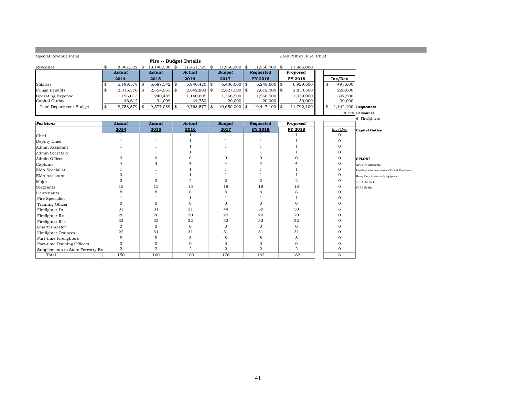| Special Revenue Fund             |                      |                        |                |                      |                       | Joey Pelfrey, Fire Chief |    |                        |                                                |
|----------------------------------|----------------------|------------------------|----------------|----------------------|-----------------------|--------------------------|----|------------------------|------------------------------------------------|
|                                  |                      | Fire -- Budget Details |                |                      |                       |                          |    |                        |                                                |
| Revenues                         | \$<br>8,807,322 \$   | 10,140,580 \$          | 11,451,725 \$  | 11,966,000 \$        | 11,966,000 \$         | 11,966,000               |    |                        |                                                |
|                                  | Actual               | <b>Actual</b>          | <b>Actual</b>  | <b>Budget</b>        | Requested             | Proposed                 |    |                        |                                                |
|                                  | 2014                 | 2015                   | 2016           | 2017                 | FY 2018               | FY 2018                  |    | Inc/Dec                |                                                |
| Salaries                         | \$<br>$5,199,578$ \$ | $5,687,542$ \$         | 5,940,420      | \$<br>$6,436,000$ \$ | $6,248,600$ \$        | 6,929,600                | \$ | 493,600                |                                                |
| Fringe Benefits                  | \$<br>2,316,376 \$   | $2,554,963$ \$         | $2,642,803$ \$ | $2,627,500$ \$       | $2,612,000$ \$        | 2,853,500                |    | 226,000                |                                                |
| <b>Operating Expense</b>         | 1,196,013            | 1,240,485              | 1,140,605      | 1,566,500            | 1,566,500             | 1,959,000                |    | 392,500                |                                                |
| Capital Outlay                   | 46,612               | 94,099                 | 44,750         | 20,000               | 20,000                | 50,000                   |    | 30,000                 |                                                |
| <b>Total Department Budget</b>   | \$<br>8,758,579      | \$<br>9,577,089 \$     | 9,768,577      | \$<br>10,650,000     | \$<br>$10,447,100$ \$ | 11,792,100               | \$ | $1,142,100$ Requested: |                                                |
|                                  |                      |                        |                |                      |                       |                          |    |                        | 10.72% Personnel                               |
|                                  |                      |                        |                |                      |                       |                          |    |                        | 6- Firefighters                                |
| <b>Positions</b>                 | <b>Actual</b>        | <b>Actual</b>          | <b>Actual</b>  | <b>Budget</b>        | <b>Requested</b>      | Proposed                 |    |                        |                                                |
|                                  | 2014                 | 2015                   | 2016           | 2017                 | FY 2018               | FY 2018                  |    | Inc/Dec                | <b>Capital Outlay:</b>                         |
| Chief                            | $\mathbf{1}$         | 1                      | $\mathbf{1}$   | 1                    | $\mathbf{1}$          |                          |    | $\mathbf 0$            |                                                |
| Deputy Chief                     |                      | $\overline{1}$         | $\mathbf{1}$   | 1                    | -1                    |                          |    | 0                      |                                                |
| Admin Assistant                  |                      | $\mathbf{1}$           |                |                      |                       |                          |    | $\Omega$               |                                                |
| Admin Secretary                  |                      | $\mathbf{1}$           | 1              | 1                    |                       | 1                        |    | $\mathbf 0$            |                                                |
| Admin Officer                    |                      | $\Omega$               | $\Omega$       | $\Omega$             | $\Omega$              | 0                        |    | $\mathbf 0$            | <b>SPLOST</b>                                  |
| Captains                         |                      |                        | 4              | 4                    |                       | $\overline{4}$           |    | 0                      | New Fire Station #12                           |
| EMA Specialist                   |                      |                        |                |                      |                       | 1                        |    | $\mathbf 0$            | Fire Engine for new station #12 with Equipment |
| EMA Assistant                    | O                    | $\mathbf{1}$           |                |                      |                       | 1                        |    | $\Omega$               | Heavy Duty Rescue with Equipment               |
| Major                            | 2                    | $\overline{2}$         | $\overline{2}$ | $\overline{2}$       | $\overline{2}$        | $\overline{2}$           |    | 0                      | <b>SCBA Air Packs</b>                          |
| Sergeants                        | 15                   | 15                     | 15             | 18                   | 18                    | 18                       |    | $\mathbf 0$            | <b>SCBA</b> Bottles                            |
| Lieutenants                      | 8                    | 8                      | 8              | 8                    | 8                     | 8                        |    | $\Omega$               |                                                |
| Fire Specialist                  | 1                    | $\mathbf{1}$           | 1              | 1                    | -1                    | 1                        |    | $\Omega$               |                                                |
| Training Officer                 | $\mathbf{0}$         | $\mathbf{0}$           | 0              | 0                    | $\mathbf{0}$          | $\mathbf{O}$             |    | $\Omega$               |                                                |
| Firefighter I's                  | 31                   | 31                     | 31             | 44                   | 50                    | 50                       |    | 6                      |                                                |
| Firefighter II's                 | 20                   | 20                     | 20             | 20                   | 20                    | 20                       |    | $\Omega$               |                                                |
| Firefighter III's                | 32                   | 32                     | 32             | 32                   | 32                    | 32                       |    | $\Omega$               |                                                |
| Ouartermaster                    | $\mathbf{0}$         | $\mathbf{0}$           | $\mathbf{O}$   | $\mathbf{0}$         | $\mathbf{0}$          | 0                        |    | $\Omega$               |                                                |
| Firefighter Trainees             | 22                   | 31                     | 31             | 31                   | 31                    | 31                       |    | $\Omega$               |                                                |
| Part-time Firefighters           | 8                    | 8                      | 8              | 8                    | 8                     | 8                        |    | $\Omega$               |                                                |
| Part-time Training Officers      | $\Omega$             | $\mathbf{0}$           | 0              | 0                    | $\Omega$              | 0                        |    | 0                      |                                                |
| Supplements to State Forestry En | $\overline{2}$       | $\sqrt{2}$             | $\overline{2}$ | $\overline{2}$       | $\overline{a}$        | $\overline{2}$           |    | $\mathbf 0$            |                                                |
| Total                            | 150                  | 160                    | 160            | 176                  | 182                   | 182                      |    | 6                      |                                                |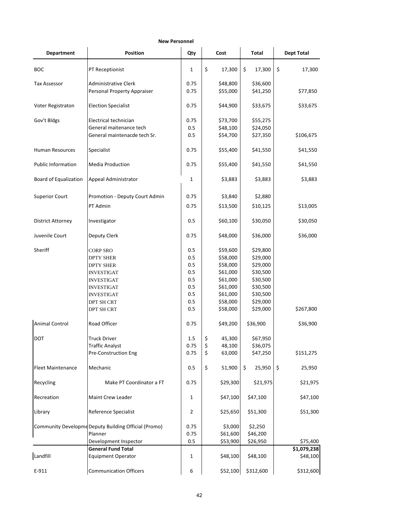| <b>New Personnel</b>         |                                                        |                |              |              |                         |  |  |  |  |  |  |  |
|------------------------------|--------------------------------------------------------|----------------|--------------|--------------|-------------------------|--|--|--|--|--|--|--|
| <b>Department</b>            | <b>Position</b>                                        | Qty            | Cost         | <b>Total</b> | <b>Dept Total</b>       |  |  |  |  |  |  |  |
| <b>BOC</b>                   | PT Receptionist                                        | 1              | \$<br>17,300 | \$<br>17,300 | \$<br>17,300            |  |  |  |  |  |  |  |
| Tax Assessor                 | Administrative Clerk                                   | 0.75           | \$48,800     | \$36,600     |                         |  |  |  |  |  |  |  |
|                              | Personal Property Appraiser                            | 0.75           | \$55,000     | \$41,250     | \$77,850                |  |  |  |  |  |  |  |
| Voter Registraton            | <b>Election Specialist</b>                             | 0.75           | \$44,900     | \$33,675     | \$33,675                |  |  |  |  |  |  |  |
| Gov't Bldgs                  | Electrical technician                                  | 0.75           | \$73,700     | \$55,275     |                         |  |  |  |  |  |  |  |
|                              | General maitenance tech                                | 0.5            | \$48,100     | \$24,050     |                         |  |  |  |  |  |  |  |
|                              | General maintenacde tech Sr.                           | 0.5            | \$54,700     | \$27,350     | \$106,675               |  |  |  |  |  |  |  |
| Human Resources              | Specialist                                             | 0.75           | \$55,400     | \$41,550     | \$41,550                |  |  |  |  |  |  |  |
| <b>Public Information</b>    | <b>Media Production</b>                                | 0.75           | \$55,400     | \$41,550     | \$41,550                |  |  |  |  |  |  |  |
| <b>Board of Equalization</b> | Appeal Administrator                                   | 1              | \$3,883      | \$3,883      | \$3,883                 |  |  |  |  |  |  |  |
| <b>Superior Court</b>        | Promotion - Deputy Court Admin                         | 0.75           | \$3,840      | \$2,880      |                         |  |  |  |  |  |  |  |
|                              | PT Admin                                               | 0.75           | \$13,500     | \$10,125     | \$13,005                |  |  |  |  |  |  |  |
| <b>District Attorney</b>     | Investigator                                           | 0.5            | \$60,100     | \$30,050     | \$30,050                |  |  |  |  |  |  |  |
| Juvenile Court               | Deputy Clerk                                           | 0.75           | \$48,000     | \$36,000     | \$36,000                |  |  |  |  |  |  |  |
| Sheriff                      | <b>CORP SRO</b>                                        | 0.5            | \$59,600     | \$29,800     |                         |  |  |  |  |  |  |  |
|                              | <b>DPTY SHER</b>                                       | 0.5            | \$58,000     | \$29,000     |                         |  |  |  |  |  |  |  |
|                              | <b>DPTY SHER</b>                                       | 0.5            | \$58,000     | \$29,000     |                         |  |  |  |  |  |  |  |
|                              | <b>INVESTIGAT</b>                                      | 0.5            | \$61,000     | \$30,500     |                         |  |  |  |  |  |  |  |
|                              | <b>INVESTIGAT</b>                                      | 0.5            | \$61,000     | \$30,500     |                         |  |  |  |  |  |  |  |
|                              | <b>INVESTIGAT</b>                                      | 0.5            | \$61,000     | \$30,500     |                         |  |  |  |  |  |  |  |
|                              | <b>INVESTIGAT</b>                                      | 0.5            | \$61,000     | \$30,500     |                         |  |  |  |  |  |  |  |
|                              | DPT SH CRT                                             | 0.5            | \$58,000     | \$29,000     |                         |  |  |  |  |  |  |  |
|                              | DPT SH CRT                                             | 0.5            | \$58,000     | \$29,000     | \$267,800               |  |  |  |  |  |  |  |
| <b>Animal Control</b>        | Road Officer                                           | 0.75           | \$49,200     | \$36,900     | \$36,900                |  |  |  |  |  |  |  |
| <b>DOT</b>                   | <b>Truck Driver</b>                                    | $1.5\,$        | \$<br>45,300 | \$67,950     |                         |  |  |  |  |  |  |  |
|                              | <b>Traffic Analyst</b>                                 | 0.75           | \$<br>48,100 | \$36,075     |                         |  |  |  |  |  |  |  |
|                              | Pre-Construction Eng                                   | 0.75           | \$<br>63,000 | \$47,250     | \$151,275               |  |  |  |  |  |  |  |
| <b>Fleet Maintenance</b>     | Mechanic                                               | 0.5            | \$<br>51,900 | \$<br>25,950 | \$<br>25,950            |  |  |  |  |  |  |  |
| Recycling                    | Make PT Coordinator a FT                               | 0.75           | \$29,300     | \$21,975     | \$21,975                |  |  |  |  |  |  |  |
| Recreation                   | Maint Crew Leader                                      | 1              | \$47,100     | \$47,100     | \$47,100                |  |  |  |  |  |  |  |
| Library                      | Reference Specialist                                   | $\overline{2}$ | \$25,650     | \$51,300     | \$51,300                |  |  |  |  |  |  |  |
|                              | Community Developme Deputy Building Official (Promo)   | 0.75           | \$3,000      | \$2,250      |                         |  |  |  |  |  |  |  |
|                              | Planner                                                | 0.75           | \$61,600     | \$46,200     |                         |  |  |  |  |  |  |  |
|                              | Development Inspector                                  | 0.5            | \$53,900     | \$26,950     | \$75,400                |  |  |  |  |  |  |  |
| Landfill                     | <b>General Fund Total</b><br><b>Equipment Operator</b> | 1              | \$48,100     | \$48,100     | \$1,079,238<br>\$48,100 |  |  |  |  |  |  |  |
| E-911                        | <b>Communication Officers</b>                          | 6              | \$52,100     | \$312,600    | \$312,600               |  |  |  |  |  |  |  |

# 42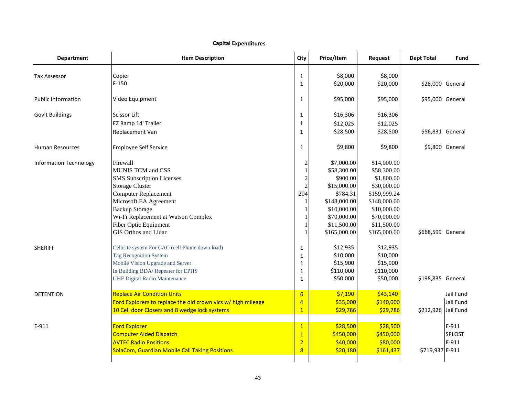| <b>Department</b>             | <b>Item Description</b>                                      | Qty                     | Price/Item   | Request      | <b>Dept Total</b>   | Fund             |
|-------------------------------|--------------------------------------------------------------|-------------------------|--------------|--------------|---------------------|------------------|
| <b>Tax Assessor</b>           | Copier                                                       | $\mathbf{1}$            | \$8,000      | \$8,000      |                     |                  |
|                               | $F-150$                                                      | $\mathbf{1}$            | \$20,000     | \$20,000     | \$28,000 General    |                  |
| <b>Public Information</b>     | Video Equipment                                              | $\mathbf{1}$            | \$95,000     | \$95,000     | \$95,000 General    |                  |
| Gov't Buildings               | Scissor Lift                                                 | $\mathbf{1}$            | \$16,306     | \$16,306     |                     |                  |
|                               | EZ Ramp 14' Trailer                                          | $\mathbf{1}$            | \$12,025     | \$12,025     |                     |                  |
|                               | Replacement Van                                              | $\mathbf{1}$            | \$28,500     | \$28,500     |                     | \$56,831 General |
| <b>Human Resources</b>        | <b>Employee Self Service</b>                                 | $\mathbf{1}$            | \$9,800      | \$9,800      |                     | \$9,800 General  |
| <b>Information Technology</b> | Firewall                                                     | $\overline{\mathbf{c}}$ | \$7,000.00   | \$14,000.00  |                     |                  |
|                               | <b>MUNIS TCM and CSS</b>                                     | 1                       | \$58,300.00  | \$58,300.00  |                     |                  |
|                               | <b>SMS</b> Subscription Licenses                             | $\overline{c}$          | \$900.00     | \$1,800.00   |                     |                  |
|                               | <b>Storage Cluster</b>                                       | $\overline{2}$          | \$15,000.00  | \$30,000.00  |                     |                  |
|                               | <b>Computer Replacement</b>                                  | 204                     | \$784.31     | \$159,999.24 |                     |                  |
|                               | Microsoft EA Agreement                                       | 1                       | \$148,000.00 | \$148,000.00 |                     |                  |
|                               | <b>Backup Storage</b>                                        |                         | \$10,000.00  | \$10,000.00  |                     |                  |
|                               | Wi-Fi Replacement at Watson Complex                          |                         | \$70,000.00  | \$70,000.00  |                     |                  |
|                               | Fiber Optic Equipment                                        |                         | \$11,500.00  | \$11,500.00  |                     |                  |
|                               | <b>GIS Orthos and Lidar</b>                                  |                         | \$165,000.00 | \$165,000.00 | \$668,599 General   |                  |
| <b>SHERIFF</b>                | Celbrite system For CAC (cell Phone down load)               | 1                       | \$12,935     | \$12,935     |                     |                  |
|                               | Tag Recognition System                                       | $\mathbf{1}$            | \$10,000     | \$10,000     |                     |                  |
|                               | Mobile Vision Upgrade and Server                             | $\mathbf{1}$            | \$15,900     | \$15,900     |                     |                  |
|                               | In Building BDA/ Repeater for EPHS                           | $\mathbf{1}$            | \$110,000    | \$110,000    |                     |                  |
|                               | <b>UHF Digital Radio Maintenance</b>                         | $\mathbf{1}$            | \$50,000     | \$50,000     | \$198,835 General   |                  |
| <b>DETENTION</b>              | <b>Replace Air Condition Units</b>                           | $6\overline{6}$         | \$7,190      | \$43,140     |                     | Jail Fund        |
|                               | Ford Explorers to replace the old crown vics w/ high mileage | 4                       | \$35,000     | \$140,000    |                     | Jail Fund        |
|                               | 10 Cell door Closers and 8 wedge lock systems                | 1                       | \$29,786     | \$29,786     | \$212,926 Jail Fund |                  |
| E-911                         | <b>Ford Explorer</b>                                         | $\mathbf{1}$            | \$28,500     | \$28,500     |                     | E-911            |
|                               | <b>Computer Aided Dispatch</b>                               | $\overline{1}$          | \$450,000    | \$450,000    |                     | <b>SPLOST</b>    |
|                               | <b>AVTEC Radio Positions</b>                                 | $\overline{2}$          | \$40,000     | \$80,000     |                     | E-911            |
|                               | SolaCom, Guardian Mobile Call Taking Positions               | 8                       | \$20,180     | \$161,437    | \$719,937 E-911     |                  |
|                               |                                                              |                         |              |              |                     |                  |

## **Capital Expenditures**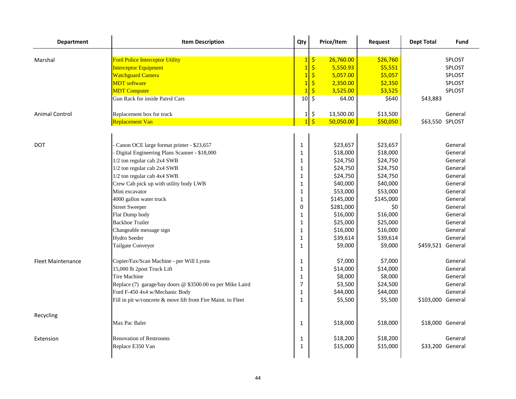| <b>Department</b>        | <b>Item Description</b>                                      | Qty             | Price/Item                        | Request   | <b>Dept Total</b> | Fund          |
|--------------------------|--------------------------------------------------------------|-----------------|-----------------------------------|-----------|-------------------|---------------|
|                          |                                                              |                 |                                   |           |                   |               |
| Marshal                  | <b>Ford Police Interceptor Utility</b>                       | 1               | $\boldsymbol{\zeta}$<br>26,760.00 | \$26,760  |                   | <b>SPLOST</b> |
|                          | <b>Interceptor Equipment</b>                                 | $\overline{1}$  | \$<br>5,550.93                    | \$5,551   |                   | <b>SPLOST</b> |
|                          | <b>Watchguard Camera</b>                                     | $\overline{1}$  | \$<br>5,057.00                    | \$5,057   |                   | SPLOST        |
|                          | <b>MDT</b> software                                          | $\overline{1}$  | $\ddot{\varsigma}$<br>2,350.00    | \$2,350   |                   | <b>SPLOST</b> |
|                          | <b>MDT</b> Computer                                          | $\overline{1}$  | $\ddot{\varsigma}$<br>3,525.00    | \$3,525   |                   | SPLOST        |
|                          | Gun Rack for inside Patrol Cars                              | 10 <sup>1</sup> | $\zeta$<br>64.00                  | \$640     | \$43,883          |               |
| <b>Animal Control</b>    | Replacement box for truck                                    | 1               | \$<br>13,500.00                   | \$13,500  |                   | General       |
|                          | Replacement Van                                              | $\overline{1}$  | $\frac{1}{2}$<br>50,050.00        | \$50,050  | \$63,550 SPLOST   |               |
|                          |                                                              |                 |                                   |           |                   |               |
| <b>DOT</b>               | Canon OCE large format printer - \$23,657                    | $\mathbf{1}$    | \$23,657                          | \$23,657  |                   | General       |
|                          | Digital Engineering Plans Scanner - \$18,000                 | $\mathbf{1}$    | \$18,000                          | \$18,000  |                   | General       |
|                          | 1/2 ton regular cab 2x4 SWB                                  | $\mathbf{1}$    | \$24,750                          | \$24,750  |                   | General       |
|                          | 1/2 ton regular cab 2x4 SWB                                  | $\mathbf{1}$    | \$24,750                          | \$24,750  |                   | General       |
|                          | 1/2 ton regular cab 4x4 SWB                                  | $\mathbf{1}$    | \$24,750                          | \$24,750  |                   | General       |
|                          | Crew Cab pick up with utility body LWB                       | $\mathbf{1}$    | \$40,000                          | \$40,000  |                   | General       |
|                          | Mini excavator                                               | $\mathbf{1}$    | \$53,000                          | \$53,000  |                   | General       |
|                          | 4000 gallon water truck                                      | $\mathbf{1}$    | \$145,000                         | \$145,000 |                   | General       |
|                          | <b>Street Sweeper</b>                                        | $\Omega$        | \$281,000                         | \$0       |                   | General       |
|                          | Flat Dump body                                               | $\mathbf{1}$    | \$16,000                          | \$16,000  |                   | General       |
|                          | <b>Backhoe Trailer</b>                                       | $\mathbf{1}$    | \$25,000                          | \$25,000  |                   | General       |
|                          | Changeable message sign                                      | $\mathbf{1}$    | \$16,000                          | \$16,000  |                   | General       |
|                          | <b>Hydro Seeder</b>                                          | $1\,$           | \$39,614                          | \$39,614  |                   | General       |
|                          | Tailgate Conveyor                                            | $\mathbf{1}$    | \$9,000                           | \$9,000   | \$459,521 General |               |
| <b>Fleet Maintenance</b> | Copier/Fax/Scan Machine - per Will Lyons                     | $\mathbf{1}$    | \$7,000                           | \$7,000   |                   | General       |
|                          | 15,000 lb 2post Truck Lift                                   | $1\,$           | \$14,000                          | \$14,000  |                   | General       |
|                          | <b>Tire Machine</b>                                          | $\mathbf{1}$    | \$8,000                           | \$8,000   |                   | General       |
|                          | Replace (7) garage/bay doors @ \$3500.00 ea per Mike Laird   | $\overline{7}$  | \$3,500                           | \$24,500  |                   | General       |
|                          | Ford F-450 4x4 w/Mechanic Body                               | $\mathbf{1}$    | \$44,000                          | \$44,000  |                   | General       |
|                          | Fill in pit w/concrete & move lift from Fire Maint. to Fleet | $\mathbf{1}$    | \$5,500                           | \$5,500   | \$103,000 General |               |
| Recycling                |                                                              |                 |                                   |           |                   |               |
|                          | Max Pac Baler                                                | $\mathbf{1}$    | \$18,000                          | \$18,000  | \$18,000 General  |               |
| Extension                | <b>Renovation of Restrooms</b>                               | $\mathbf{1}$    | \$18,200                          | \$18,200  |                   | General       |
|                          | Replace E350 Van                                             | $\mathbf 1$     | \$15,000                          | \$15,000  | \$33,200 General  |               |
|                          |                                                              |                 |                                   |           |                   |               |